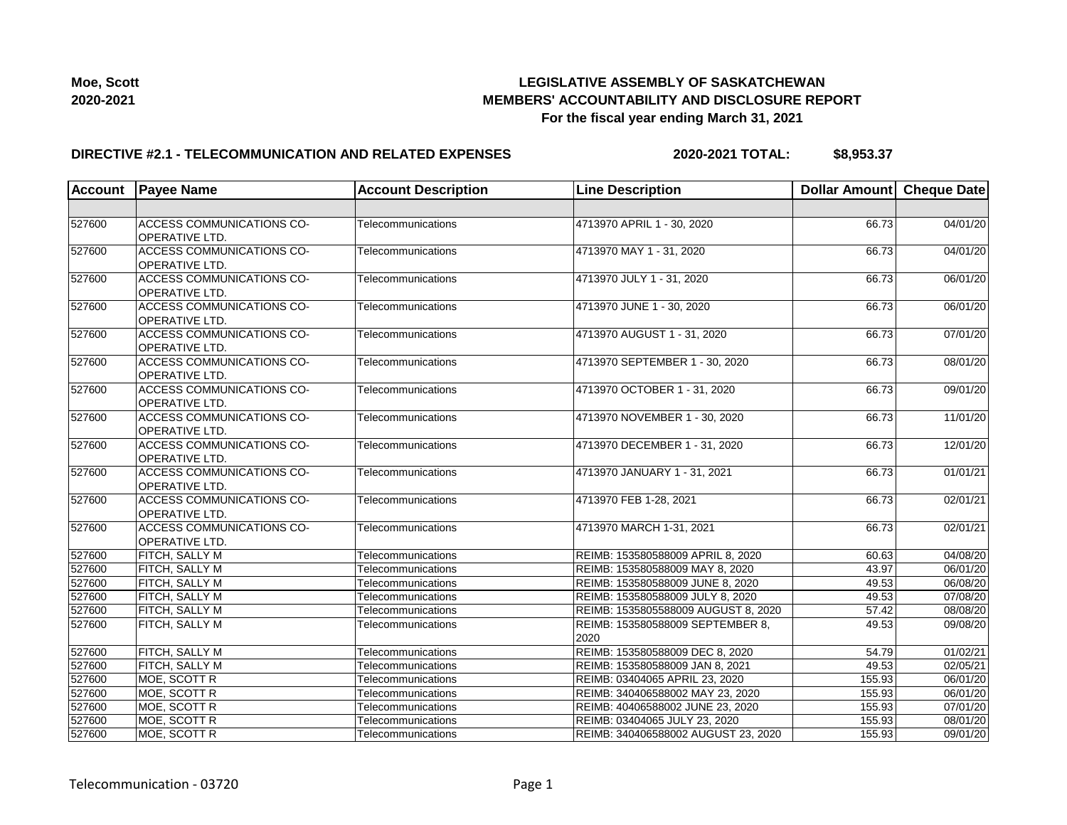

### **DIRECTIVE #2.1 - TELECOMMUNICATION AND RELATED EXPENSES**

**2020-2021 TOTAL: \$8,953.37**

| <b>Account</b> | <b>Payee Name</b>                                         | <b>Account Description</b> | <b>Line Description</b>                  | Dollar Amount Cheque Date |          |
|----------------|-----------------------------------------------------------|----------------------------|------------------------------------------|---------------------------|----------|
|                |                                                           |                            |                                          |                           |          |
| 527600         | <b>ACCESS COMMUNICATIONS CO-</b><br><b>OPERATIVE LTD.</b> | Telecommunications         | 4713970 APRIL 1 - 30, 2020               | 66.73                     | 04/01/20 |
| 527600         | <b>ACCESS COMMUNICATIONS CO-</b><br>OPERATIVE LTD.        | Telecommunications         | 4713970 MAY 1 - 31, 2020                 | 66.73                     | 04/01/20 |
| 527600         | <b>ACCESS COMMUNICATIONS CO-</b><br>OPERATIVE LTD.        | Telecommunications         | 4713970 JULY 1 - 31, 2020                | 66.73                     | 06/01/20 |
| 527600         | <b>ACCESS COMMUNICATIONS CO-</b><br>OPERATIVE LTD.        | Telecommunications         | 4713970 JUNE 1 - 30, 2020                | 66.73                     | 06/01/20 |
| 527600         | <b>ACCESS COMMUNICATIONS CO-</b><br>OPERATIVE LTD.        | Telecommunications         | 4713970 AUGUST 1 - 31, 2020              | 66.73                     | 07/01/20 |
| 527600         | ACCESS COMMUNICATIONS CO-<br><b>OPERATIVE LTD.</b>        | Telecommunications         | 4713970 SEPTEMBER 1 - 30, 2020           | 66.73                     | 08/01/20 |
| 527600         | <b>ACCESS COMMUNICATIONS CO-</b><br><b>OPERATIVE LTD.</b> | Telecommunications         | 4713970 OCTOBER 1 - 31, 2020             | 66.73                     | 09/01/20 |
| 527600         | <b>ACCESS COMMUNICATIONS CO-</b><br><b>OPERATIVE LTD.</b> | Telecommunications         | 4713970 NOVEMBER 1 - 30, 2020            | 66.73                     | 11/01/20 |
| 527600         | <b>ACCESS COMMUNICATIONS CO-</b><br>OPERATIVE LTD.        | Telecommunications         | 4713970 DECEMBER 1 - 31, 2020            | 66.73                     | 12/01/20 |
| 527600         | <b>ACCESS COMMUNICATIONS CO-</b><br>OPERATIVE LTD.        | Telecommunications         | 4713970 JANUARY 1 - 31, 2021             | 66.73                     | 01/01/21 |
| 527600         | <b>ACCESS COMMUNICATIONS CO-</b><br><b>OPERATIVE LTD.</b> | Telecommunications         | 4713970 FEB 1-28, 2021                   | 66.73                     | 02/01/21 |
| 527600         | <b>ACCESS COMMUNICATIONS CO-</b><br>OPERATIVE LTD.        | Telecommunications         | 4713970 MARCH 1-31, 2021                 | 66.73                     | 02/01/21 |
| 527600         | FITCH, SALLY M                                            | Telecommunications         | REIMB: 153580588009 APRIL 8, 2020        | 60.63                     | 04/08/20 |
| 527600         | FITCH, SALLY M                                            | Telecommunications         | REIMB: 153580588009 MAY 8, 2020          | 43.97                     | 06/01/20 |
| 527600         | FITCH, SALLY M                                            | Telecommunications         | REIMB: 153580588009 JUNE 8, 2020         | 49.53                     | 06/08/20 |
| 527600         | <b>FITCH, SALLY M</b>                                     | Telecommunications         | REIMB: 153580588009 JULY 8, 2020         | 49.53                     | 07/08/20 |
| 527600         | <b>FITCH, SALLY M</b>                                     | Telecommunications         | REIMB: 1535805588009 AUGUST 8, 2020      | 57.42                     | 08/08/20 |
| 527600         | FITCH, SALLY M                                            | Telecommunications         | REIMB: 153580588009 SEPTEMBER 8,<br>2020 | 49.53                     | 09/08/20 |
| 527600         | FITCH, SALLY M                                            | Telecommunications         | REIMB: 153580588009 DEC 8, 2020          | 54.79                     | 01/02/21 |
| 527600         | FITCH, SALLY M                                            | Telecommunications         | REIMB: 153580588009 JAN 8, 2021          | 49.53                     | 02/05/21 |
| 527600         | MOE, SCOTT R                                              | Telecommunications         | REIMB: 03404065 APRIL 23, 2020           | 155.93                    | 06/01/20 |
| 527600         | MOE, SCOTT R                                              | Telecommunications         | REIMB: 340406588002 MAY 23, 2020         | 155.93                    | 06/01/20 |
| 527600         | MOE, SCOTT R                                              | Telecommunications         | REIMB: 40406588002 JUNE 23, 2020         | 155.93                    | 07/01/20 |
| 527600         | MOE, SCOTT R                                              | Telecommunications         | REIMB: 03404065 JULY 23, 2020            | 155.93                    | 08/01/20 |
| 527600         | MOE, SCOTT R                                              | Telecommunications         | REIMB: 340406588002 AUGUST 23, 2020      | 155.93                    | 09/01/20 |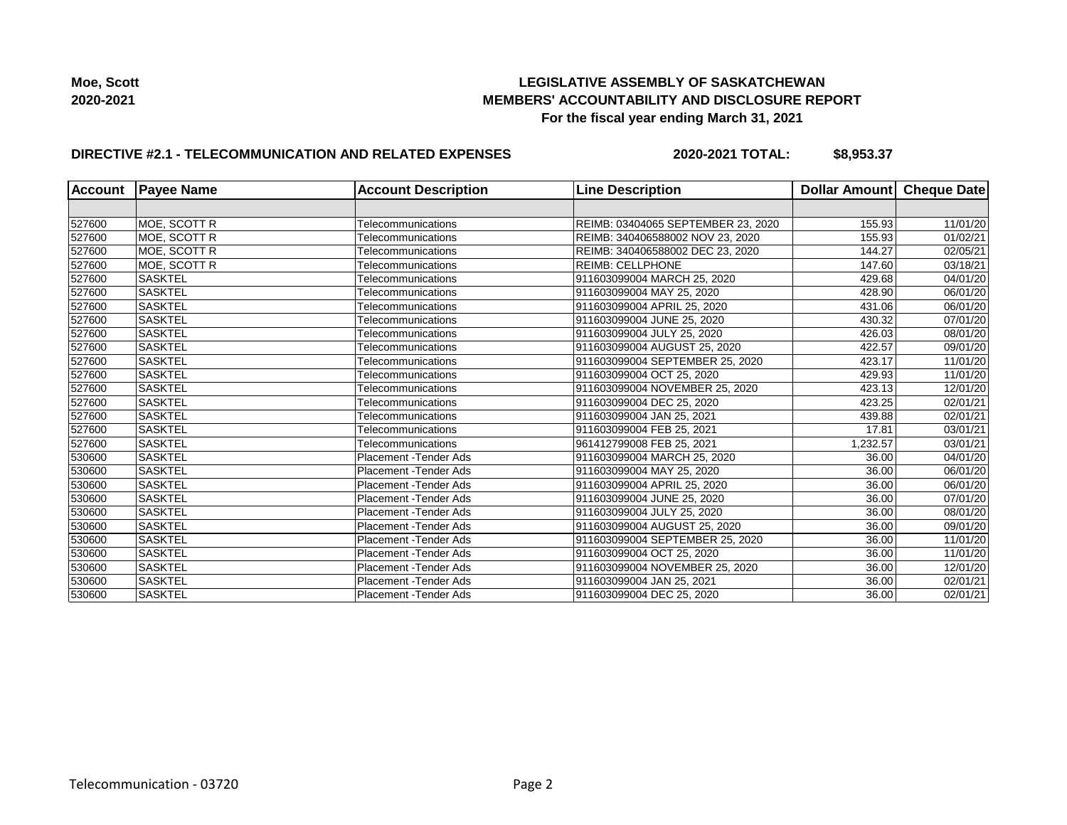

### **DIRECTIVE #2.1 - TELECOMMUNICATION AND RELATED EXPENSES**

**2020-2021 TOTAL: \$8,953.37**

| <b>Account</b> | <b>Payee Name</b> | <b>Account Description</b>    | <b>Line Description</b>            | Dollar Amount Cheque Date |          |
|----------------|-------------------|-------------------------------|------------------------------------|---------------------------|----------|
|                |                   |                               |                                    |                           |          |
| 527600         | MOE, SCOTT R      | Telecommunications            | REIMB: 03404065 SEPTEMBER 23, 2020 | 155.93                    | 11/01/20 |
| 527600         | MOE, SCOTT R      | Telecommunications            | REIMB: 340406588002 NOV 23, 2020   | 155.93                    | 01/02/21 |
| 527600         | MOE, SCOTT R      | Telecommunications            | REIMB: 340406588002 DEC 23, 2020   | 144.27                    | 02/05/21 |
| 527600         | MOE, SCOTT R      | Telecommunications            | <b>REIMB: CELLPHONE</b>            | 147.60                    | 03/18/21 |
| 527600         | <b>SASKTEL</b>    | Telecommunications            | 911603099004 MARCH 25, 2020        | 429.68                    | 04/01/20 |
| 527600         | <b>SASKTEL</b>    | Telecommunications            | 911603099004 MAY 25, 2020          | 428.90                    | 06/01/20 |
| 527600         | <b>SASKTEL</b>    | Telecommunications            | 911603099004 APRIL 25, 2020        | 431.06                    | 06/01/20 |
| 527600         | <b>SASKTEL</b>    | Telecommunications            | 911603099004 JUNE 25, 2020         | 430.32                    | 07/01/20 |
| 527600         | <b>SASKTEL</b>    | Telecommunications            | 911603099004 JULY 25, 2020         | 426.03                    | 08/01/20 |
| 527600         | SASKTEL           | Telecommunications            | 911603099004 AUGUST 25, 2020       | 422.57                    | 09/01/20 |
| 527600         | <b>SASKTEL</b>    | Telecommunications            | 911603099004 SEPTEMBER 25, 2020    | 423.17                    | 11/01/20 |
| 527600         | <b>SASKTEL</b>    | Telecommunications            | 911603099004 OCT 25, 2020          | 429.93                    | 11/01/20 |
| 527600         | SASKTEL           | Telecommunications            | 911603099004 NOVEMBER 25, 2020     | 423.13                    | 12/01/20 |
| 527600         | <b>SASKTEL</b>    | Telecommunications            | 911603099004 DEC 25, 2020          | 423.25                    | 02/01/21 |
| 527600         | <b>SASKTEL</b>    | Telecommunications            | 911603099004 JAN 25, 2021          | 439.88                    | 02/01/21 |
| 527600         | <b>SASKTEL</b>    | Telecommunications            | 911603099004 FEB 25, 2021          | 17.81                     | 03/01/21 |
| 527600         | <b>SASKTEL</b>    | Telecommunications            | 961412799008 FEB 25, 2021          | 1,232.57                  | 03/01/21 |
| 530600         | <b>SASKTEL</b>    | <b>Placement - Tender Ads</b> | 911603099004 MARCH 25, 2020        | 36.00                     | 04/01/20 |
| 530600         | <b>SASKTEL</b>    | Placement - Tender Ads        | 911603099004 MAY 25, 2020          | 36.00                     | 06/01/20 |
| 530600         | <b>SASKTEL</b>    | <b>Placement - Tender Ads</b> | 911603099004 APRIL 25, 2020        | 36.00                     | 06/01/20 |
| 530600         | <b>SASKTEL</b>    | <b>Placement - Tender Ads</b> | 911603099004 JUNE 25, 2020         | 36.00                     | 07/01/20 |
| 530600         | <b>SASKTEL</b>    | Placement - Tender Ads        | 911603099004 JULY 25, 2020         | 36.00                     | 08/01/20 |
| 530600         | <b>SASKTEL</b>    | <b>Placement - Tender Ads</b> | 911603099004 AUGUST 25, 2020       | 36.00                     | 09/01/20 |
| 530600         | <b>SASKTEL</b>    | Placement - Tender Ads        | 911603099004 SEPTEMBER 25, 2020    | 36.00                     | 11/01/20 |
| 530600         | <b>SASKTEL</b>    | Placement - Tender Ads        | 911603099004 OCT 25, 2020          | 36.00                     | 11/01/20 |
| 530600         | <b>SASKTEL</b>    | <b>Placement - Tender Ads</b> | 911603099004 NOVEMBER 25, 2020     | 36.00                     | 12/01/20 |
| 530600         | SASKTEL           | Placement - Tender Ads        | 911603099004 JAN 25, 2021          | 36.00                     | 02/01/21 |
| 530600         | <b>SASKTEL</b>    | <b>Placement - Tender Ads</b> | 911603099004 DEC 25, 2020          | 36.00                     | 02/01/21 |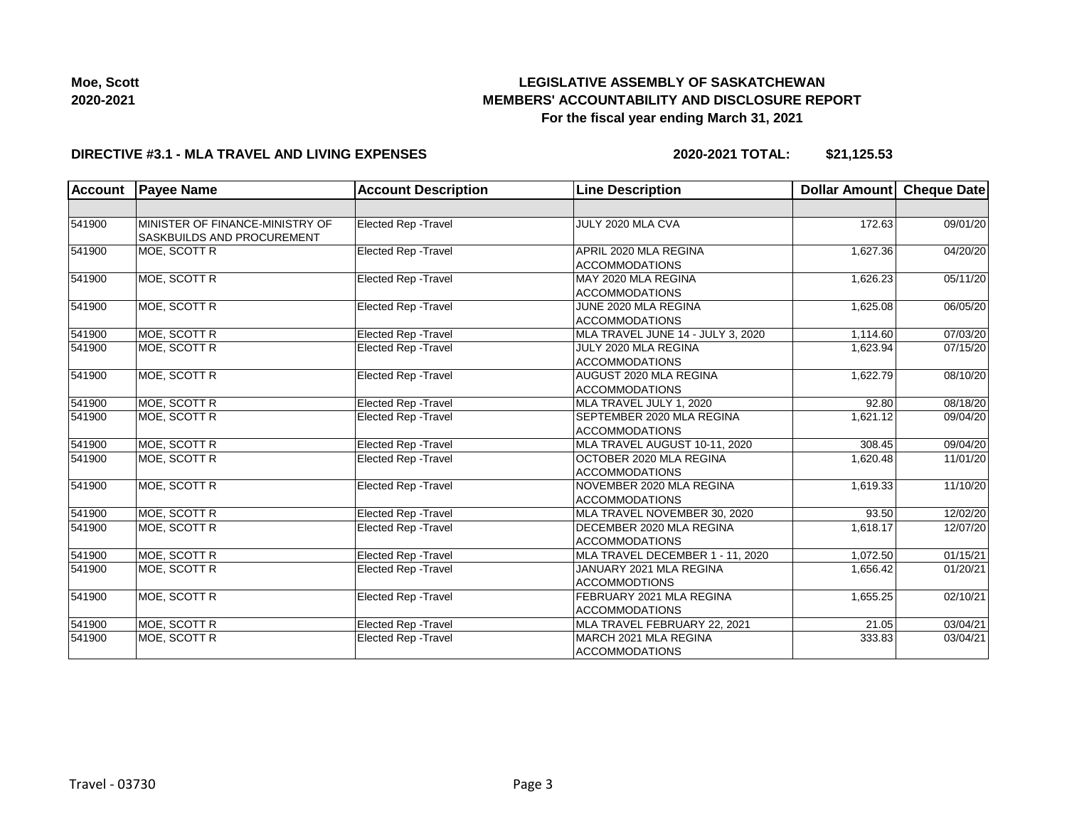

| ---- |  |  |
|------|--|--|
|      |  |  |
|      |  |  |
|      |  |  |
|      |  |  |
|      |  |  |
|      |  |  |
|      |  |  |
|      |  |  |
|      |  |  |

# **DIRECTIVE #3.1 - MLA TRAVEL AND LIVING EXPENSES**

**2020-2021 TOTAL: \$21,125.53**

| <b>Account</b> | <b>Payee Name</b>                                             | <b>Account Description</b>  | <b>Line Description</b>                                     | <b>Dollar Amount</b> | Cheque Date |
|----------------|---------------------------------------------------------------|-----------------------------|-------------------------------------------------------------|----------------------|-------------|
|                |                                                               |                             |                                                             |                      |             |
| 541900         | MINISTER OF FINANCE-MINISTRY OF<br>SASKBUILDS AND PROCUREMENT | Elected Rep - Travel        | JULY 2020 MLA CVA                                           | 172.63               | 09/01/20    |
| 541900         | MOE, SCOTT R                                                  | <b>Elected Rep - Travel</b> | APRIL 2020 MLA REGINA<br><b>ACCOMMODATIONS</b>              | 1,627.36             | 04/20/20    |
| 541900         | MOE, SCOTT R                                                  | Elected Rep - Travel        | MAY 2020 MLA REGINA<br><b>ACCOMMODATIONS</b>                | 1,626.23             | 05/11/20    |
| 541900         | MOE, SCOTT R                                                  | Elected Rep - Travel        | JUNE 2020 MLA REGINA<br><b>ACCOMMODATIONS</b>               | 1,625.08             | 06/05/20    |
| 541900         | MOE, SCOTT R                                                  | <b>Elected Rep - Travel</b> | MLA TRAVEL JUNE 14 - JULY 3, 2020                           | 1,114.60             | 07/03/20    |
| 541900         | MOE, SCOTT R                                                  | <b>Elected Rep - Travel</b> | JULY 2020 MLA REGINA<br><b>ACCOMMODATIONS</b>               | 1,623.94             | 07/15/20    |
| 541900         | MOE, SCOTT R                                                  | Elected Rep - Travel        | AUGUST 2020 MLA REGINA<br><b>ACCOMMODATIONS</b>             | 1,622.79             | 08/10/20    |
| 541900         | MOE, SCOTT R                                                  | <b>Elected Rep - Travel</b> | MLA TRAVEL JULY 1, 2020                                     | 92.80                | 08/18/20    |
| 541900         | MOE, SCOTT R                                                  | Elected Rep - Travel        | SEPTEMBER 2020 MLA REGINA<br><b>ACCOMMODATIONS</b>          | 1,621.12             | 09/04/20    |
| 541900         | MOE, SCOTT R                                                  | Elected Rep - Travel        | MLA TRAVEL AUGUST 10-11, 2020                               | 308.45               | 09/04/20    |
| 541900         | MOE, SCOTT R                                                  | <b>Elected Rep - Travel</b> | OCTOBER 2020 MLA REGINA<br><b>ACCOMMODATIONS</b>            | 1,620.48             | 11/01/20    |
| 541900         | MOE, SCOTT R                                                  | <b>Elected Rep - Travel</b> | NOVEMBER 2020 MLA REGINA<br><b>ACCOMMODATIONS</b>           | 1,619.33             | 11/10/20    |
| 541900         | MOE, SCOTT R                                                  | Elected Rep - Travel        | MLA TRAVEL NOVEMBER 30, 2020                                | 93.50                | 12/02/20    |
| 541900         | MOE, SCOTT R                                                  | <b>Elected Rep - Travel</b> | DECEMBER 2020 MLA REGINA<br><b>ACCOMMODATIONS</b>           | 1,618.17             | 12/07/20    |
| 541900         | MOE, SCOTT R                                                  | <b>Elected Rep - Travel</b> | MLA TRAVEL DECEMBER 1 - 11, 2020                            | 1.072.50             | 01/15/21    |
| 541900         | MOE, SCOTT R                                                  | Elected Rep - Travel        | JANUARY 2021 MLA REGINA<br>1,656.42<br><b>ACCOMMODTIONS</b> |                      | 01/20/21    |
| 541900         | MOE, SCOTT R                                                  | Elected Rep - Travel        | FEBRUARY 2021 MLA REGINA<br><b>ACCOMMODATIONS</b>           | 1,655.25             | 02/10/21    |
| 541900         | MOE, SCOTT R                                                  | Elected Rep - Travel        | MLA TRAVEL FEBRUARY 22, 2021                                | 21.05                | 03/04/21    |
| 541900         | MOE, SCOTT R                                                  | <b>Elected Rep - Travel</b> | MARCH 2021 MLA REGINA<br><b>ACCOMMODATIONS</b>              | 333.83               | 03/04/21    |

**Moe, Scott 2020-2021**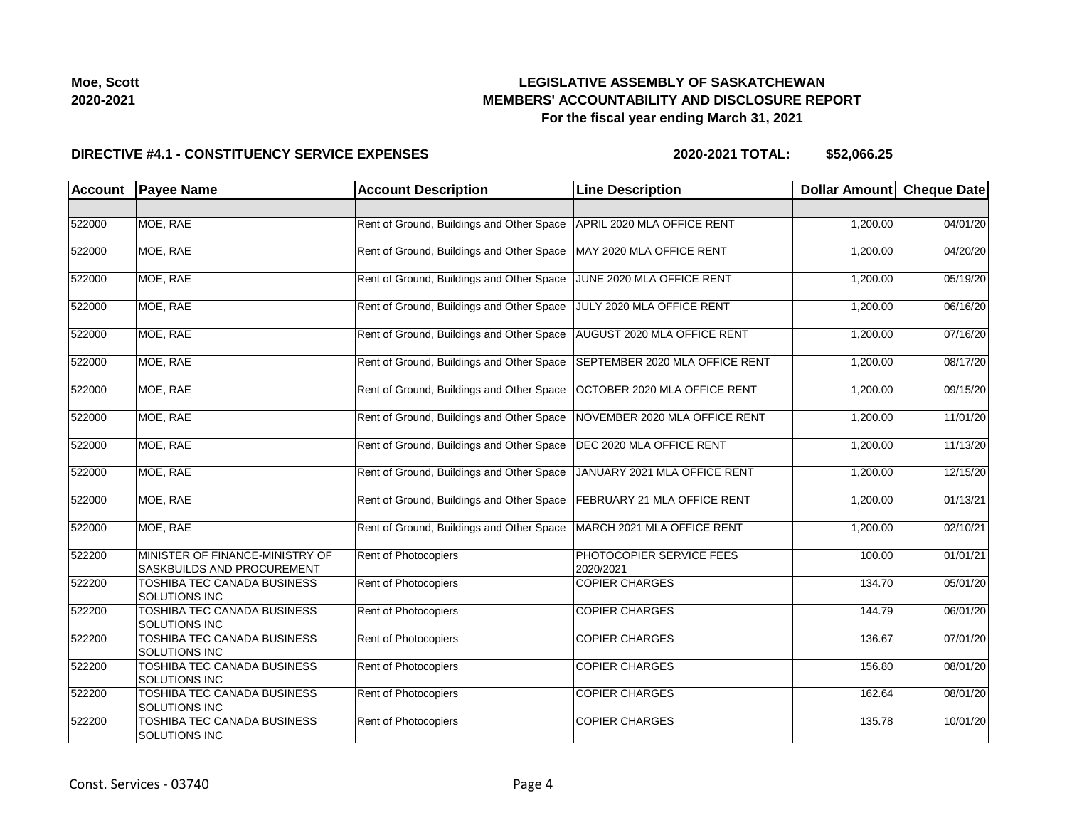

| Moe. Scott |
|------------|
| 2020-2021  |

### **DIRECTIVE #4.1 - CONSTITUENCY SERVICE EXPENSES**

| <b>Account</b> | <b>Payee Name</b>                                             | <b>Account Description</b>                | <b>Line Description</b>               | Dollar Amount Cheque Date |          |
|----------------|---------------------------------------------------------------|-------------------------------------------|---------------------------------------|---------------------------|----------|
|                |                                                               |                                           |                                       |                           |          |
| 522000         | MOE, RAE                                                      | Rent of Ground, Buildings and Other Space | APRIL 2020 MLA OFFICE RENT            | 1,200.00                  | 04/01/20 |
| 522000         | MOE. RAE                                                      | Rent of Ground, Buildings and Other Space | MAY 2020 MLA OFFICE RENT              | 1,200.00                  | 04/20/20 |
| 522000         | MOE, RAE                                                      | Rent of Ground, Buildings and Other Space | JUNE 2020 MLA OFFICE RENT             | 1,200.00                  | 05/19/20 |
| 522000         | MOE, RAE                                                      | Rent of Ground, Buildings and Other Space | JULY 2020 MLA OFFICE RENT             | 1,200.00                  | 06/16/20 |
| 522000         | MOE, RAE                                                      | Rent of Ground, Buildings and Other Space | AUGUST 2020 MLA OFFICE RENT           | 1,200.00                  | 07/16/20 |
| 522000         | MOE, RAE                                                      | Rent of Ground, Buildings and Other Space | SEPTEMBER 2020 MLA OFFICE RENT        | 1,200.00                  | 08/17/20 |
| 522000         | MOE, RAE                                                      | Rent of Ground, Buildings and Other Space | OCTOBER 2020 MLA OFFICE RENT          | 1,200.00                  | 09/15/20 |
| 522000         | MOE, RAE                                                      | Rent of Ground, Buildings and Other Space | NOVEMBER 2020 MLA OFFICE RENT         | 1,200.00                  | 11/01/20 |
| 522000         | MOE, RAE                                                      | Rent of Ground, Buildings and Other Space | DEC 2020 MLA OFFICE RENT              | 1,200.00                  | 11/13/20 |
| 522000         | MOE, RAE                                                      | Rent of Ground, Buildings and Other Space | JANUARY 2021 MLA OFFICE RENT          | 1,200.00                  | 12/15/20 |
| 522000         | MOE, RAE                                                      | Rent of Ground, Buildings and Other Space | FEBRUARY 21 MLA OFFICE RENT           | 1,200.00                  | 01/13/21 |
| 522000         | MOE, RAE                                                      | Rent of Ground, Buildings and Other Space | MARCH 2021 MLA OFFICE RENT            | 1,200.00                  | 02/10/21 |
| 522200         | MINISTER OF FINANCE-MINISTRY OF<br>SASKBUILDS AND PROCUREMENT | Rent of Photocopiers                      | PHOTOCOPIER SERVICE FEES<br>2020/2021 | 100.00                    | 01/01/21 |
| 522200         | <b>TOSHIBA TEC CANADA BUSINESS</b><br>SOLUTIONS INC           | Rent of Photocopiers                      | <b>COPIER CHARGES</b>                 | 134.70                    | 05/01/20 |
| 522200         | TOSHIBA TEC CANADA BUSINESS<br>SOLUTIONS INC                  | <b>Rent of Photocopiers</b>               | <b>COPIER CHARGES</b>                 | 144.79                    | 06/01/20 |
| 522200         | TOSHIBA TEC CANADA BUSINESS<br><b>SOLUTIONS INC</b>           | <b>Rent of Photocopiers</b>               | <b>COPIER CHARGES</b>                 | 136.67                    | 07/01/20 |
| 522200         | TOSHIBA TEC CANADA BUSINESS<br>SOLUTIONS INC                  | <b>Rent of Photocopiers</b>               | <b>COPIER CHARGES</b>                 | 156.80                    | 08/01/20 |
| 522200         | TOSHIBA TEC CANADA BUSINESS<br>SOLUTIONS INC                  | <b>Rent of Photocopiers</b>               | <b>COPIER CHARGES</b>                 | 162.64                    | 08/01/20 |
| 522200         | TOSHIBA TEC CANADA BUSINESS<br>SOLUTIONS INC                  | <b>Rent of Photocopiers</b>               | <b>COPIER CHARGES</b>                 | 135.78                    | 10/01/20 |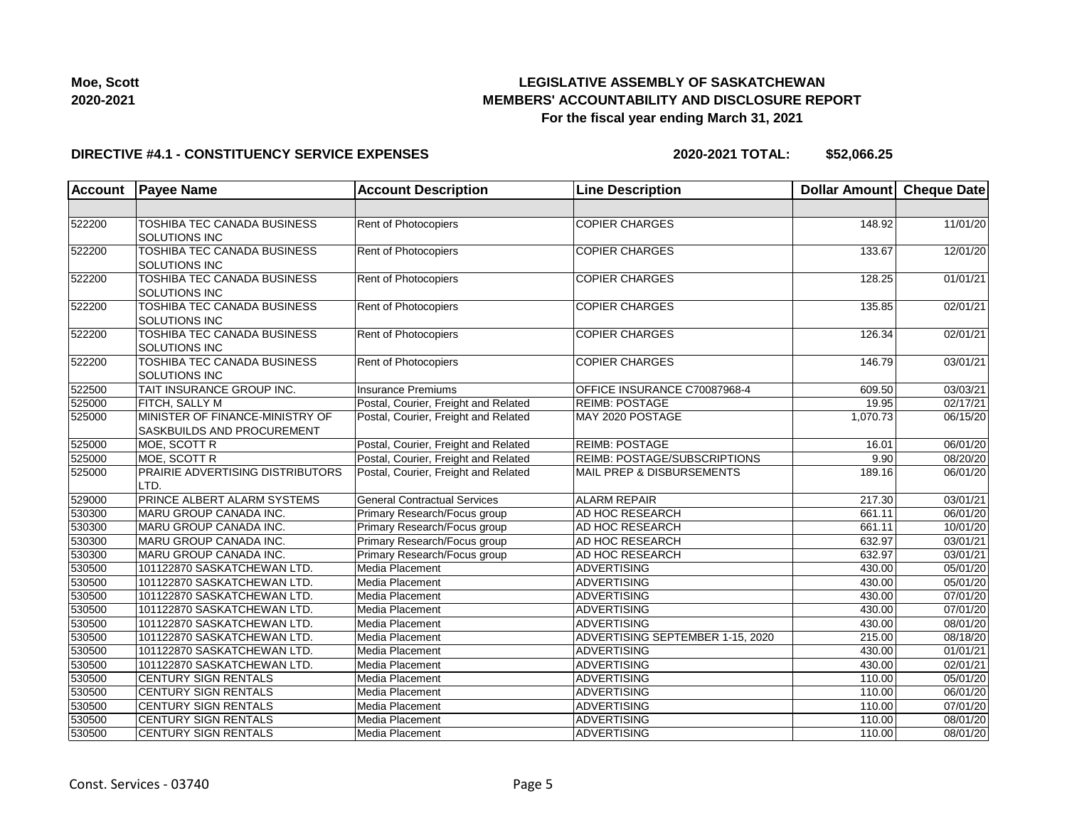

#### **DIRECTIVE #4.1 - CONSTITUENCY SERVICE EXPENSES**

| <b>Account</b> | <b>Payee Name</b>                                             | <b>Account Description</b>           | <b>Line Description</b>          | Dollar Amount Cheque Date |          |
|----------------|---------------------------------------------------------------|--------------------------------------|----------------------------------|---------------------------|----------|
|                |                                                               |                                      |                                  |                           |          |
| 522200         | TOSHIBA TEC CANADA BUSINESS<br>SOLUTIONS INC                  | Rent of Photocopiers                 | <b>COPIER CHARGES</b>            | 148.92                    | 11/01/20 |
| 522200         | TOSHIBA TEC CANADA BUSINESS<br><b>SOLUTIONS INC</b>           | Rent of Photocopiers                 | <b>COPIER CHARGES</b>            | 133.67                    | 12/01/20 |
| 522200         | TOSHIBA TEC CANADA BUSINESS<br><b>SOLUTIONS INC</b>           | Rent of Photocopiers                 | <b>COPIER CHARGES</b>            | 128.25                    | 01/01/21 |
| 522200         | TOSHIBA TEC CANADA BUSINESS<br>SOLUTIONS INC                  | Rent of Photocopiers                 | <b>COPIER CHARGES</b>            | 135.85                    | 02/01/21 |
| 522200         | TOSHIBA TEC CANADA BUSINESS<br><b>SOLUTIONS INC</b>           | Rent of Photocopiers                 | <b>COPIER CHARGES</b>            | 126.34                    | 02/01/21 |
| 522200         | TOSHIBA TEC CANADA BUSINESS<br>SOLUTIONS INC                  | Rent of Photocopiers                 | <b>COPIER CHARGES</b>            | 146.79                    | 03/01/21 |
| 522500         | TAIT INSURANCE GROUP INC.                                     | Insurance Premiums                   | OFFICE INSURANCE C70087968-4     | 609.50                    | 03/03/21 |
| 525000         | FITCH, SALLY M                                                | Postal, Courier, Freight and Related | <b>REIMB: POSTAGE</b>            | 19.95                     | 02/17/21 |
| 525000         | MINISTER OF FINANCE-MINISTRY OF<br>SASKBUILDS AND PROCUREMENT | Postal, Courier, Freight and Related | MAY 2020 POSTAGE                 | 1,070.73                  | 06/15/20 |
| 525000         | MOE, SCOTT R                                                  | Postal, Courier, Freight and Related | <b>REIMB: POSTAGE</b>            | 16.01                     | 06/01/20 |
| 525000         | MOE, SCOTT R                                                  | Postal, Courier, Freight and Related | REIMB: POSTAGE/SUBSCRIPTIONS     | 9.90                      | 08/20/20 |
| 525000         | PRAIRIE ADVERTISING DISTRIBUTORS<br>LTD.                      | Postal, Courier, Freight and Related | MAIL PREP & DISBURSEMENTS        | 189.16                    | 06/01/20 |
| 529000         | PRINCE ALBERT ALARM SYSTEMS                                   | <b>General Contractual Services</b>  | <b>ALARM REPAIR</b>              | 217.30                    | 03/01/21 |
| 530300         | MARU GROUP CANADA INC.                                        | Primary Research/Focus group         | AD HOC RESEARCH                  | 661.11                    | 06/01/20 |
| 530300         | MARU GROUP CANADA INC.                                        | Primary Research/Focus group         | AD HOC RESEARCH                  | 661.11                    | 10/01/20 |
| 530300         | MARU GROUP CANADA INC.                                        | Primary Research/Focus group         | AD HOC RESEARCH                  | 632.97                    | 03/01/21 |
| 530300         | MARU GROUP CANADA INC.                                        | Primary Research/Focus group         | AD HOC RESEARCH                  | 632.97                    | 03/01/21 |
| 530500         | 101122870 SASKATCHEWAN LTD.                                   | Media Placement                      | ADVERTISING                      | 430.00                    | 05/01/20 |
| 530500         | 101122870 SASKATCHEWAN LTD.                                   | Media Placement                      | <b>ADVERTISING</b>               | 430.00                    | 05/01/20 |
| 530500         | 101122870 SASKATCHEWAN LTD.                                   | Media Placement                      | <b>ADVERTISING</b>               | 430.00                    | 07/01/20 |
| 530500         | 101122870 SASKATCHEWAN LTD.                                   | Media Placement                      | <b>ADVERTISING</b>               | 430.00                    | 07/01/20 |
| 530500         | 101122870 SASKATCHEWAN LTD.                                   | Media Placement                      | ADVERTISING                      | 430.00                    | 08/01/20 |
| 530500         | 101122870 SASKATCHEWAN LTD.                                   | Media Placement                      | ADVERTISING SEPTEMBER 1-15, 2020 | 215.00                    | 08/18/20 |
| 530500         | 101122870 SASKATCHEWAN LTD.                                   | Media Placement                      | ADVERTISING                      | 430.00                    | 01/01/21 |
| 530500         | 101122870 SASKATCHEWAN LTD.                                   | Media Placement                      | ADVERTISING                      | 430.00                    | 02/01/21 |
| 530500         | <b>CENTURY SIGN RENTALS</b>                                   | Media Placement                      | <b>ADVERTISING</b>               | 110.00                    | 05/01/20 |
| 530500         | <b>CENTURY SIGN RENTALS</b>                                   | Media Placement                      | <b>ADVERTISING</b>               | 110.00                    | 06/01/20 |
| 530500         | CENTURY SIGN RENTALS                                          | Media Placement                      | <b>ADVERTISING</b>               | 110.00                    | 07/01/20 |
| 530500         | <b>CENTURY SIGN RENTALS</b>                                   | Media Placement                      | <b>ADVERTISING</b>               | 110.00                    | 08/01/20 |
| 530500         | CENTURY SIGN RENTALS                                          | Media Placement                      | ADVERTISING                      | 110.00                    | 08/01/20 |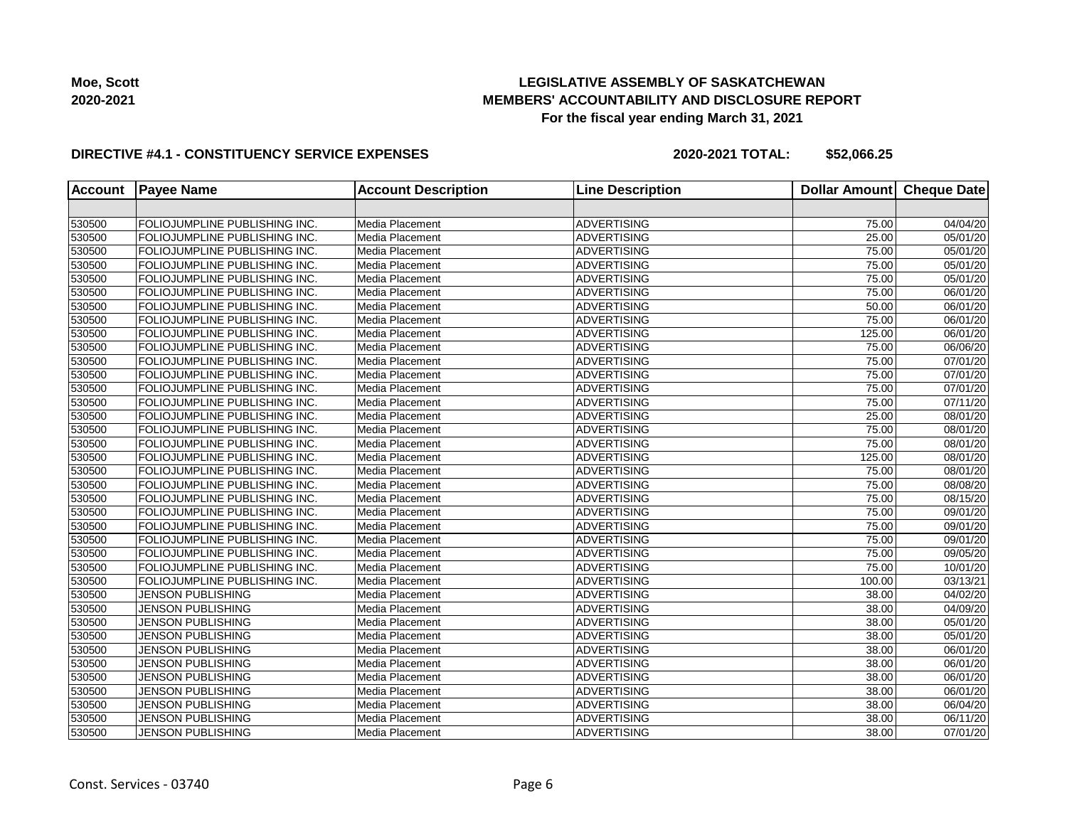

#### **DIRECTIVE #4.1 - CONSTITUENCY SERVICE EXPENSES**

| <b>Account</b> | <b>Payee Name</b>                    | <b>Account Description</b> | <b>Line Description</b> | <b>Dollar Amount</b> | <b>Cheque Date</b> |
|----------------|--------------------------------------|----------------------------|-------------------------|----------------------|--------------------|
|                |                                      |                            |                         |                      |                    |
| 530500         | FOLIOJUMPLINE PUBLISHING INC.        | Media Placement            | <b>ADVERTISING</b>      | 75.00                | 04/04/20           |
| 530500         | FOLIOJUMPLINE PUBLISHING INC.        | Media Placement            | <b>ADVERTISING</b>      | 25.00                | 05/01/20           |
| 530500         | FOLIOJUMPLINE PUBLISHING INC.        | Media Placement            | <b>ADVERTISING</b>      | 75.00                | 05/01/20           |
| 530500         | FOLIOJUMPLINE PUBLISHING INC.        | Media Placement            | ADVERTISING             | 75.00                | 05/01/20           |
| 530500         | <b>FOLIOJUMPLINE PUBLISHING INC.</b> | Media Placement            | <b>ADVERTISING</b>      | 75.00                | 05/01/20           |
| 530500         | FOLIOJUMPLINE PUBLISHING INC.        | Media Placement            | <b>ADVERTISING</b>      | 75.00                | 06/01/20           |
| 530500         | FOLIOJUMPLINE PUBLISHING INC.        | Media Placement            | <b>ADVERTISING</b>      | 50.00                | 06/01/20           |
| 530500         | FOLIOJUMPLINE PUBLISHING INC.        | Media Placement            | <b>ADVERTISING</b>      | 75.00                | 06/01/20           |
| 530500         | FOLIOJUMPLINE PUBLISHING INC.        | Media Placement            | <b>ADVERTISING</b>      | 125.00               | 06/01/20           |
| 530500         | FOLIOJUMPLINE PUBLISHING INC.        | Media Placement            | <b>ADVERTISING</b>      | 75.00                | 06/06/20           |
| 530500         | <b>FOLIOJUMPLINE PUBLISHING INC.</b> | Media Placement            | <b>ADVERTISING</b>      | 75.00                | 07/01/20           |
| 530500         | FOLIOJUMPLINE PUBLISHING INC.        | Media Placement            | <b>ADVERTISING</b>      | 75.00                | 07/01/20           |
| 530500         | FOLIOJUMPLINE PUBLISHING INC.        | Media Placement            | <b>ADVERTISING</b>      | 75.00                | 07/01/20           |
| 530500         | FOLIOJUMPLINE PUBLISHING INC.        | Media Placement            | <b>ADVERTISING</b>      | 75.00                | 07/11/20           |
| 530500         | FOLIOJUMPLINE PUBLISHING INC.        | Media Placement            | <b>ADVERTISING</b>      | 25.00                | 08/01/20           |
| 530500         | <b>FOLIOJUMPLINE PUBLISHING INC.</b> | Media Placement            | <b>ADVERTISING</b>      | 75.00                | 08/01/20           |
| 530500         | <b>FOLIOJUMPLINE PUBLISHING INC.</b> | Media Placement            | <b>ADVERTISING</b>      | 75.00                | 08/01/20           |
| 530500         | FOLIOJUMPLINE PUBLISHING INC.        | Media Placement            | <b>ADVERTISING</b>      | 125.00               | 08/01/20           |
| 530500         | FOLIOJUMPLINE PUBLISHING INC.        | Media Placement            | <b>ADVERTISING</b>      | 75.00                | 08/01/20           |
| 530500         | <b>FOLIOJUMPLINE PUBLISHING INC.</b> | Media Placement            | <b>ADVERTISING</b>      | 75.00                | 08/08/20           |
| 530500         | <b>FOLIOJUMPLINE PUBLISHING INC.</b> | Media Placement            | <b>ADVERTISING</b>      | 75.00                | 08/15/20           |
| 530500         | <b>FOLIOJUMPLINE PUBLISHING INC.</b> | Media Placement            | <b>ADVERTISING</b>      | 75.00                | 09/01/20           |
| 530500         | FOLIOJUMPLINE PUBLISHING INC.        | Media Placement            | <b>ADVERTISING</b>      | 75.00                | 09/01/20           |
| 530500         | FOLIOJUMPLINE PUBLISHING INC.        | Media Placement            | <b>ADVERTISING</b>      | 75.00                | 09/01/20           |
| 530500         | FOLIOJUMPLINE PUBLISHING INC.        | Media Placement            | <b>ADVERTISING</b>      | 75.00                | 09/05/20           |
| 530500         | <b>FOLIOJUMPLINE PUBLISHING INC.</b> | Media Placement            | <b>ADVERTISING</b>      | 75.00                | 10/01/20           |
| 530500         | FOLIOJUMPLINE PUBLISHING INC.        | Media Placement            | ADVERTISING             | 100.00               | 03/13/21           |
| 530500         | <b>JENSON PUBLISHING</b>             | Media Placement            | <b>ADVERTISING</b>      | 38.00                | 04/02/20           |
| 530500         | <b>JENSON PUBLISHING</b>             | Media Placement            | <b>ADVERTISING</b>      | 38.00                | 04/09/20           |
| 530500         | <b>JENSON PUBLISHING</b>             | Media Placement            | <b>ADVERTISING</b>      | 38.00                | 05/01/20           |
| 530500         | <b>JENSON PUBLISHING</b>             | Media Placement            | <b>ADVERTISING</b>      | 38.00                | 05/01/20           |
| 530500         | <b>JENSON PUBLISHING</b>             | Media Placement            | <b>ADVERTISING</b>      | 38.00                | 06/01/20           |
| 530500         | <b>JENSON PUBLISHING</b>             | Media Placement            | ADVERTISING             | 38.00                | 06/01/20           |
| 530500         | <b>JENSON PUBLISHING</b>             | Media Placement            | <b>ADVERTISING</b>      | 38.00                | 06/01/20           |
| 530500         | <b>JENSON PUBLISHING</b>             | Media Placement            | <b>ADVERTISING</b>      | 38.00                | 06/01/20           |
| 530500         | <b>JENSON PUBLISHING</b>             | Media Placement            | <b>ADVERTISING</b>      | 38.00                | 06/04/20           |
| 530500         | <b>JENSON PUBLISHING</b>             | Media Placement            | <b>ADVERTISING</b>      | 38.00                | 06/11/20           |
| 530500         | <b>JENSON PUBLISHING</b>             | Media Placement            | <b>ADVERTISING</b>      | 38.00                | 07/01/20           |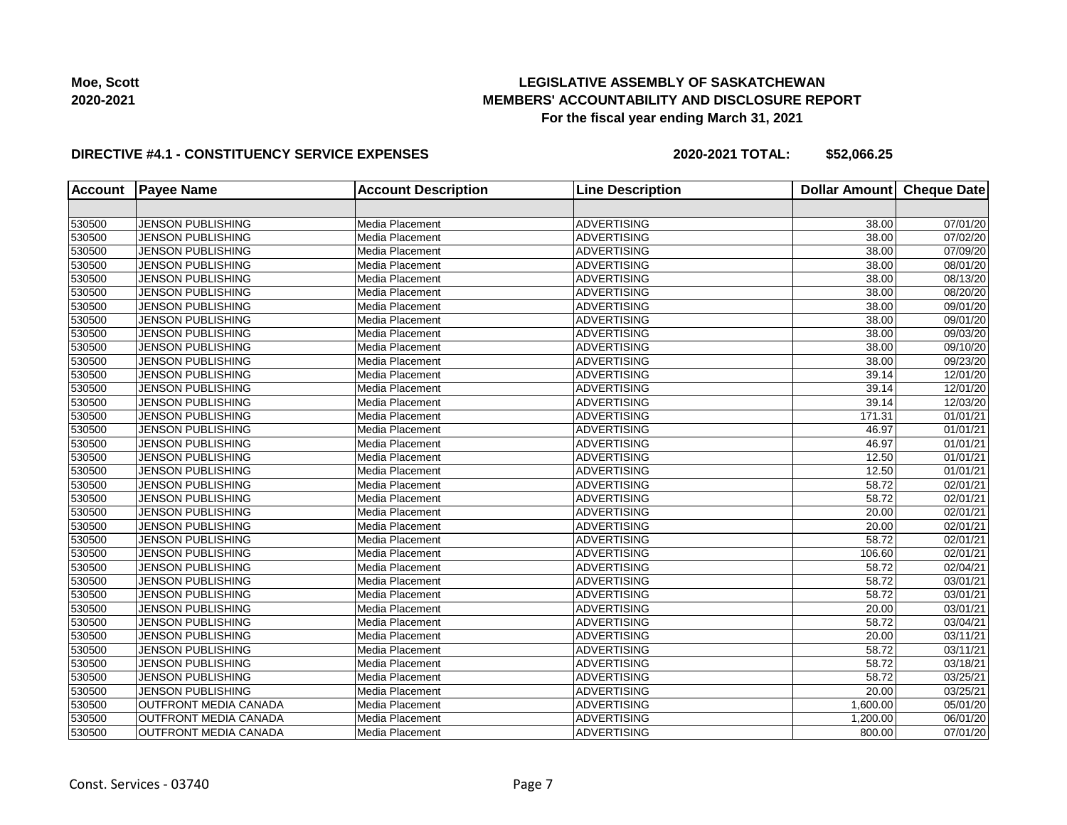

#### **DIRECTIVE #4.1 - CONSTITUENCY SERVICE EXPENSES**

| <b>Account</b> | <b>Payee Name</b>            | <b>Account Description</b> | <b>Line Description</b> | <b>Dollar Amount</b> | <b>Cheque Date</b>    |
|----------------|------------------------------|----------------------------|-------------------------|----------------------|-----------------------|
|                |                              |                            |                         |                      |                       |
| 530500         | <b>JENSON PUBLISHING</b>     | Media Placement            | <b>ADVERTISING</b>      | 38.00                | 07/01/20              |
| 530500         | <b>JENSON PUBLISHING</b>     | Media Placement            | <b>ADVERTISING</b>      | 38.00                | 07/02/20              |
| 530500         | <b>JENSON PUBLISHING</b>     | Media Placement            | ADVERTISING             | 38.00                | 07/09/20              |
| 530500         | <b>JENSON PUBLISHING</b>     | Media Placement            | ADVERTISING             | 38.00                | 08/01/20              |
| 530500         | <b>JENSON PUBLISHING</b>     | Media Placement            | ADVERTISING             | 38.00                | $\overline{08/13/20}$ |
| 530500         | JENSON PUBLISHING            | Media Placement            | <b>ADVERTISING</b>      | 38.00                | 08/20/20              |
| 530500         | <b>JENSON PUBLISHING</b>     | Media Placement            | <b>ADVERTISING</b>      | 38.00                | 09/01/20              |
| 530500         | <b>JENSON PUBLISHING</b>     | Media Placement            | <b>ADVERTISING</b>      | 38.00                | 09/01/20              |
| 530500         | <b>JENSON PUBLISHING</b>     | Media Placement            | ADVERTISING             | 38.00                | 09/03/20              |
| 530500         | <b>JENSON PUBLISHING</b>     | Media Placement            | ADVERTISING             | 38.00                | 09/10/20              |
| 530500         | <b>JENSON PUBLISHING</b>     | Media Placement            | ADVERTISING             | 38.00                | 09/23/20              |
| 530500         | JENSON PUBLISHING            | Media Placement            | <b>ADVERTISING</b>      | 39.14                | 12/01/20              |
| 530500         | <b>JENSON PUBLISHING</b>     | Media Placement            | <b>ADVERTISING</b>      | 39.14                | 12/01/20              |
| 530500         | JENSON PUBLISHING            | Media Placement            | <b>ADVERTISING</b>      | 39.14                | 12/03/20              |
| 530500         | <b>JENSON PUBLISHING</b>     | Media Placement            | ADVERTISING             | 171.31               | 01/01/21              |
| 530500         | <b>JENSON PUBLISHING</b>     | Media Placement            | ADVERTISING             | 46.97                | 01/01/21              |
| 530500         | <b>JENSON PUBLISHING</b>     | Media Placement            | ADVERTISING             | 46.97                | 01/01/21              |
| 530500         | <b>JENSON PUBLISHING</b>     | Media Placement            | <b>ADVERTISING</b>      | 12.50                | 01/01/21              |
| 530500         | <b>JENSON PUBLISHING</b>     | Media Placement            | <b>ADVERTISING</b>      | 12.50                | 01/01/21              |
| 530500         | <b>JENSON PUBLISHING</b>     | Media Placement            | <b>ADVERTISING</b>      | 58.72                | 02/01/21              |
| 530500         | <b>JENSON PUBLISHING</b>     | Media Placement            | ADVERTISING             | 58.72                | 02/01/21              |
| 530500         | <b>JENSON PUBLISHING</b>     | Media Placement            | <b>ADVERTISING</b>      | 20.00                | 02/01/21              |
| 530500         | <b>JENSON PUBLISHING</b>     | Media Placement            | <b>ADVERTISING</b>      | 20.00                | $\overline{02/0}1/21$ |
| 530500         | <b>JENSON PUBLISHING</b>     | Media Placement            | <b>ADVERTISING</b>      | 58.72                | 02/01/21              |
| 530500         | <b>JENSON PUBLISHING</b>     | Media Placement            | <b>ADVERTISING</b>      | 106.60               | 02/01/21              |
| 530500         | <b>JENSON PUBLISHING</b>     | Media Placement            | ADVERTISING             | 58.72                | 02/04/21              |
| 530500         | <b>JENSON PUBLISHING</b>     | Media Placement            | ADVERTISING             | 58.72                | 03/01/21              |
| 530500         | <b>JENSON PUBLISHING</b>     | Media Placement            | <b>ADVERTISING</b>      | 58.72                | 03/01/21              |
| 530500         | <b>JENSON PUBLISHING</b>     | Media Placement            | <b>ADVERTISING</b>      | 20.00                | 03/01/21              |
| 530500         | <b>JENSON PUBLISHING</b>     | Media Placement            | <b>ADVERTISING</b>      | 58.72                | 03/04/21              |
| 530500         | <b>JENSON PUBLISHING</b>     | Media Placement            | <b>ADVERTISING</b>      | 20.00                | $\overline{03/1}1/21$ |
| 530500         | <b>JENSON PUBLISHING</b>     | Media Placement            | ADVERTISING             | 58.72                | 03/11/21              |
| 530500         | <b>JENSON PUBLISHING</b>     | Media Placement            | ADVERTISING             | 58.72                | 03/18/21              |
| 530500         | <b>JENSON PUBLISHING</b>     | Media Placement            | ADVERTISING             | 58.72                | 03/25/21              |
| 530500         | <b>JENSON PUBLISHING</b>     | Media Placement            | <b>ADVERTISING</b>      | 20.00                | 03/25/21              |
| 530500         | <b>OUTFRONT MEDIA CANADA</b> | Media Placement            | <b>ADVERTISING</b>      | 1,600.00             | 05/01/20              |
| 530500         | <b>OUTFRONT MEDIA CANADA</b> | Media Placement            | <b>ADVERTISING</b>      | 1,200.00             | 06/01/20              |
| 530500         | <b>OUTFRONT MEDIA CANADA</b> | Media Placement            | ADVERTISING             | 800.00               | 07/01/20              |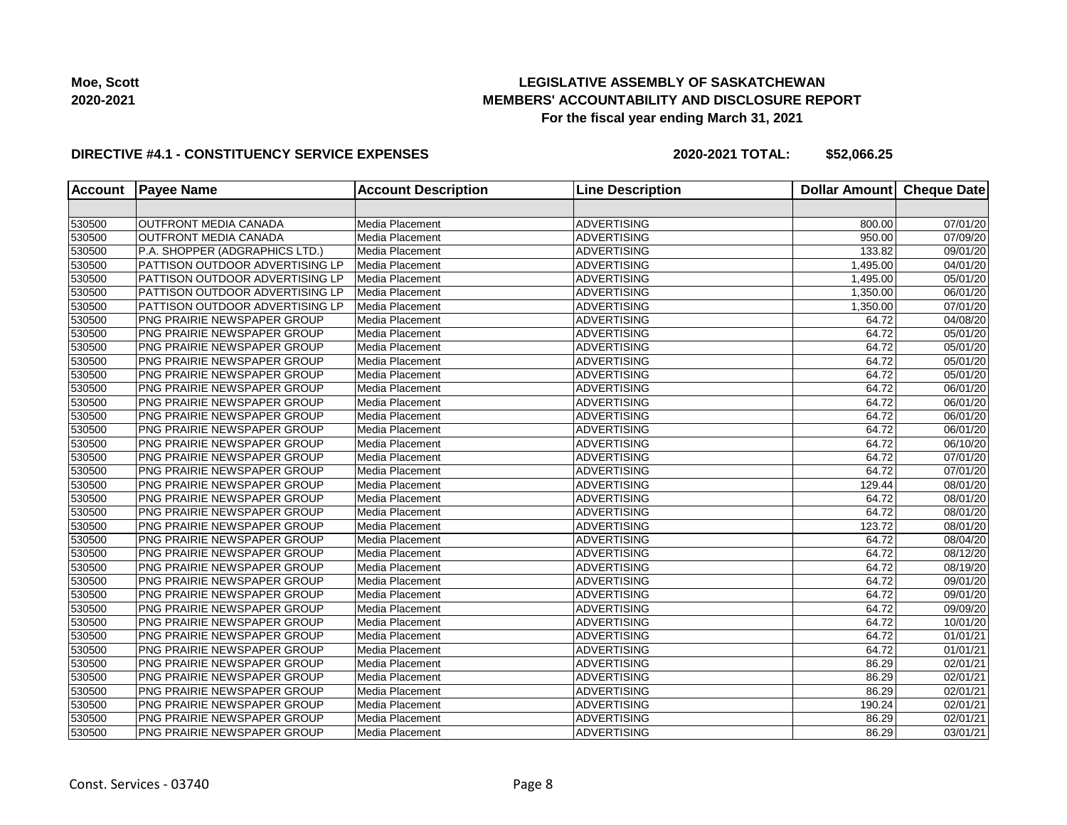

#### **DIRECTIVE #4.1 - CONSTITUENCY SERVICE EXPENSES**

| <b>Account</b> | <b>Payee Name</b>                  | <b>Account Description</b> | <b>Line Description</b> | <b>Dollar Amount</b> | <b>Cheque Date</b> |
|----------------|------------------------------------|----------------------------|-------------------------|----------------------|--------------------|
|                |                                    |                            |                         |                      |                    |
| 530500         | <b>OUTFRONT MEDIA CANADA</b>       | Media Placement            | <b>ADVERTISING</b>      | 800.00               | 07/01/20           |
| 530500         | OUTFRONT MEDIA CANADA              | Media Placement            | <b>ADVERTISING</b>      | 950.00               | 07/09/20           |
| 530500         | P.A. SHOPPER (ADGRAPHICS LTD.)     | Media Placement            | <b>ADVERTISING</b>      | 133.82               | 09/01/20           |
| 530500         | PATTISON OUTDOOR ADVERTISING LP    | Media Placement            | <b>ADVERTISING</b>      | 1,495.00             | 04/01/20           |
| 530500         | PATTISON OUTDOOR ADVERTISING LP    | Media Placement            | <b>ADVERTISING</b>      | 1,495.00             | 05/01/20           |
| 530500         | PATTISON OUTDOOR ADVERTISING LP    | Media Placement            | <b>ADVERTISING</b>      | 1,350.00             | 06/01/20           |
| 530500         | PATTISON OUTDOOR ADVERTISING LP    | Media Placement            | <b>ADVERTISING</b>      | 1,350.00             | 07/01/20           |
| 530500         | PNG PRAIRIE NEWSPAPER GROUP        | Media Placement            | <b>ADVERTISING</b>      | 64.72                | 04/08/20           |
| 530500         | PNG PRAIRIE NEWSPAPER GROUP        | Media Placement            | <b>ADVERTISING</b>      | 64.72                | 05/01/20           |
| 530500         | PNG PRAIRIE NEWSPAPER GROUP        | Media Placement            | <b>ADVERTISING</b>      | 64.72                | 05/01/20           |
| 530500         | PNG PRAIRIE NEWSPAPER GROUP        | Media Placement            | <b>ADVERTISING</b>      | 64.72                | 05/01/20           |
| 530500         | PNG PRAIRIE NEWSPAPER GROUP        | Media Placement            | <b>ADVERTISING</b>      | 64.72                | 05/01/20           |
| 530500         | PNG PRAIRIE NEWSPAPER GROUP        | Media Placement            | <b>ADVERTISING</b>      | 64.72                | 06/01/20           |
| 530500         | PNG PRAIRIE NEWSPAPER GROUP        | Media Placement            | <b>ADVERTISING</b>      | 64.72                | 06/01/20           |
| 530500         | PNG PRAIRIE NEWSPAPER GROUP        | Media Placement            | <b>ADVERTISING</b>      | 64.72                | 06/01/20           |
| 530500         | PNG PRAIRIE NEWSPAPER GROUP        | Media Placement            | <b>ADVERTISING</b>      | 64.72                | 06/01/20           |
| 530500         | <b>PNG PRAIRIE NEWSPAPER GROUP</b> | Media Placement            | <b>ADVERTISING</b>      | 64.72                | 06/10/20           |
| 530500         | PNG PRAIRIE NEWSPAPER GROUP        | Media Placement            | <b>ADVERTISING</b>      | 64.72                | 07/01/20           |
| 530500         | PNG PRAIRIE NEWSPAPER GROUP        | Media Placement            | <b>ADVERTISING</b>      | 64.72                | 07/01/20           |
| 530500         | <b>PNG PRAIRIE NEWSPAPER GROUP</b> | Media Placement            | <b>ADVERTISING</b>      | 129.44               | 08/01/20           |
| 530500         | <b>PNG PRAIRIE NEWSPAPER GROUP</b> | Media Placement            | <b>ADVERTISING</b>      | 64.72                | 08/01/20           |
| 530500         | <b>PNG PRAIRIE NEWSPAPER GROUP</b> | Media Placement            | <b>ADVERTISING</b>      | 64.72                | 08/01/20           |
| 530500         | <b>PNG PRAIRIE NEWSPAPER GROUP</b> | Media Placement            | <b>ADVERTISING</b>      | 123.72               | 08/01/20           |
| 530500         | PNG PRAIRIE NEWSPAPER GROUP        | Media Placement            | <b>ADVERTISING</b>      | 64.72                | 08/04/20           |
| 530500         | PNG PRAIRIE NEWSPAPER GROUP        | Media Placement            | <b>ADVERTISING</b>      | 64.72                | 08/12/20           |
| 530500         | PNG PRAIRIE NEWSPAPER GROUP        | Media Placement            | <b>ADVERTISING</b>      | 64.72                | 08/19/20           |
| 530500         | <b>PNG PRAIRIE NEWSPAPER GROUP</b> | Media Placement            | <b>ADVERTISING</b>      | 64.72                | 09/01/20           |
| 530500         | PNG PRAIRIE NEWSPAPER GROUP        | Media Placement            | <b>ADVERTISING</b>      | 64.72                | 09/01/20           |
| 530500         | PNG PRAIRIE NEWSPAPER GROUP        | Media Placement            | <b>ADVERTISING</b>      | 64.72                | 09/09/20           |
| 530500         | PNG PRAIRIE NEWSPAPER GROUP        | Media Placement            | <b>ADVERTISING</b>      | 64.72                | 10/01/20           |
| 530500         | PNG PRAIRIE NEWSPAPER GROUP        | Media Placement            | <b>ADVERTISING</b>      | 64.72                | 01/01/21           |
| 530500         | <b>PNG PRAIRIE NEWSPAPER GROUP</b> | Media Placement            | <b>ADVERTISING</b>      | 64.72                | 01/01/21           |
| 530500         | PNG PRAIRIE NEWSPAPER GROUP        | Media Placement            | <b>ADVERTISING</b>      | 86.29                | 02/01/21           |
| 530500         | PNG PRAIRIE NEWSPAPER GROUP        | Media Placement            | <b>ADVERTISING</b>      | 86.29                | 02/01/21           |
| 530500         | PNG PRAIRIE NEWSPAPER GROUP        | Media Placement            | <b>ADVERTISING</b>      | 86.29                | 02/01/21           |
| 530500         | PNG PRAIRIE NEWSPAPER GROUP        | Media Placement            | <b>ADVERTISING</b>      | 190.24               | 02/01/21           |
| 530500         | PNG PRAIRIE NEWSPAPER GROUP        | Media Placement            | <b>ADVERTISING</b>      | 86.29                | 02/01/21           |
| 530500         | PNG PRAIRIE NEWSPAPER GROUP        | Media Placement            | <b>ADVERTISING</b>      | 86.29                | 03/01/21           |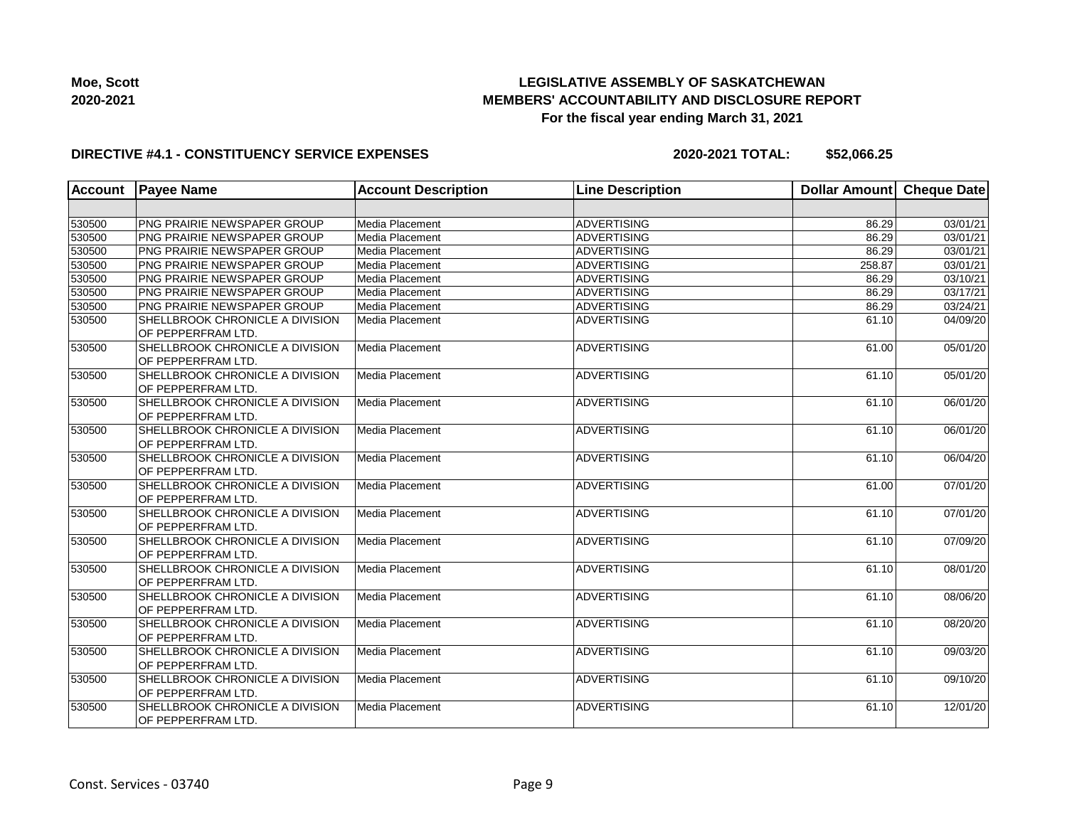

#### **DIRECTIVE #4.1 - CONSTITUENCY SERVICE EXPENSES**

| <b>Account</b> | <b>Payee Name</b>                                     | <b>Account Description</b> | <b>Line Description</b> | <b>Dollar Amount</b> | <b>Cheque Date</b> |
|----------------|-------------------------------------------------------|----------------------------|-------------------------|----------------------|--------------------|
|                |                                                       |                            |                         |                      |                    |
| 530500         | PNG PRAIRIE NEWSPAPER GROUP                           | Media Placement            | <b>ADVERTISING</b>      | 86.29                | 03/01/21           |
| 530500         | PNG PRAIRIE NEWSPAPER GROUP                           | Media Placement            | <b>ADVERTISING</b>      | 86.29                | 03/01/21           |
| 530500         | PNG PRAIRIE NEWSPAPER GROUP                           | Media Placement            | <b>ADVERTISING</b>      | 86.29                | 03/01/21           |
| 530500         | <b>PNG PRAIRIE NEWSPAPER GROUP</b>                    | Media Placement            | ADVERTISING             | 258.87               | 03/01/21           |
| 530500         | PNG PRAIRIE NEWSPAPER GROUP                           | Media Placement            | ADVERTISING             | 86.29                | 03/10/21           |
| 530500         | PNG PRAIRIE NEWSPAPER GROUP                           | Media Placement            | ADVERTISING             | 86.29                | 03/17/21           |
| 530500         | <b>PNG PRAIRIE NEWSPAPER GROUP</b>                    | Media Placement            | ADVERTISING             | 86.29                | 03/24/21           |
| 530500         | SHELLBROOK CHRONICLE A DIVISION<br>OF PEPPERFRAM LTD. | Media Placement            | <b>ADVERTISING</b>      | 61.10                | 04/09/20           |
| 530500         | SHELLBROOK CHRONICLE A DIVISION<br>OF PEPPERFRAM LTD. | Media Placement            | <b>ADVERTISING</b>      | 61.00                | 05/01/20           |
| 530500         | SHELLBROOK CHRONICLE A DIVISION<br>OF PEPPERFRAM LTD. | Media Placement            | ADVERTISING             | 61.10                | 05/01/20           |
| 530500         | SHELLBROOK CHRONICLE A DIVISION<br>OF PEPPERFRAM LTD. | Media Placement            | ADVERTISING             | 61.10                | 06/01/20           |
| 530500         | SHELLBROOK CHRONICLE A DIVISION<br>OF PEPPERFRAM LTD. | Media Placement            | ADVERTISING             | 61.10                | 06/01/20           |
| 530500         | SHELLBROOK CHRONICLE A DIVISION<br>OF PEPPERFRAM LTD. | Media Placement            | ADVERTISING             | 61.10                | 06/04/20           |
| 530500         | SHELLBROOK CHRONICLE A DIVISION<br>OF PEPPERFRAM LTD. | Media Placement            | ADVERTISING             | 61.00                | 07/01/20           |
| 530500         | SHELLBROOK CHRONICLE A DIVISION<br>OF PEPPERFRAM LTD. | Media Placement            | ADVERTISING             | 61.10                | 07/01/20           |
| 530500         | SHELLBROOK CHRONICLE A DIVISION<br>OF PEPPERFRAM LTD. | Media Placement            | ADVERTISING             | 61.10                | 07/09/20           |
| 530500         | SHELLBROOK CHRONICLE A DIVISION<br>OF PEPPERFRAM LTD. | Media Placement            | <b>ADVERTISING</b>      | 61.10                | 08/01/20           |
| 530500         | SHELLBROOK CHRONICLE A DIVISION<br>OF PEPPERFRAM LTD. | Media Placement            | ADVERTISING             | 61.10                | 08/06/20           |
| 530500         | SHELLBROOK CHRONICLE A DIVISION<br>OF PEPPERFRAM LTD. | Media Placement            | ADVERTISING             | 61.10                | 08/20/20           |
| 530500         | SHELLBROOK CHRONICLE A DIVISION<br>OF PEPPERFRAM LTD. | Media Placement            | ADVERTISING             | 61.10                | 09/03/20           |
| 530500         | SHELLBROOK CHRONICLE A DIVISION<br>OF PEPPERFRAM LTD. | Media Placement            | ADVERTISING             | 61.10                | 09/10/20           |
| 530500         | SHELLBROOK CHRONICLE A DIVISION<br>OF PEPPERFRAM LTD. | Media Placement            | <b>ADVERTISING</b>      | 61.10                | 12/01/20           |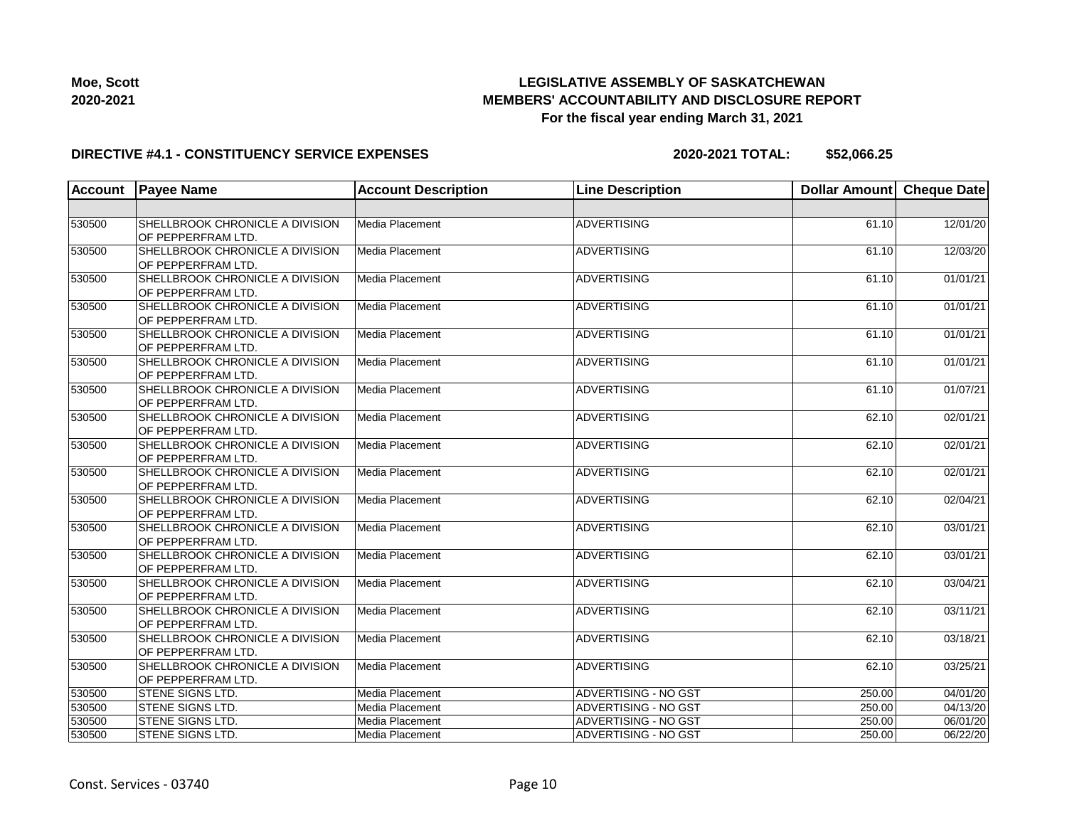

| Moe, Scott |
|------------|
| 2020-2021  |

#### **DIRECTIVE #4.1 - CONSTITUENCY SERVICE EXPENSES**

| SHELLBROOK CHRONICLE A DIVISION<br>12/01/20<br>530500<br>Media Placement<br><b>ADVERTISING</b><br>61.10<br>OF PEPPERFRAM LTD.<br>530500<br>SHELLBROOK CHRONICLE A DIVISION<br>Media Placement<br><b>ADVERTISING</b><br>61.10<br>12/03/20<br>OF PEPPERFRAM LTD.<br>01/01/21<br>530500<br>SHELLBROOK CHRONICLE A DIVISION<br>Media Placement<br><b>ADVERTISING</b><br>61.10<br>OF PEPPERFRAM LTD.<br>Media Placement<br>530500<br>SHELLBROOK CHRONICLE A DIVISION<br><b>ADVERTISING</b><br>61.10<br>OF PEPPERFRAM LTD.<br>530500<br>SHELLBROOK CHRONICLE A DIVISION<br>Media Placement<br><b>ADVERTISING</b><br>61.10<br>OF PEPPERFRAM LTD.<br>530500<br>SHELLBROOK CHRONICLE A DIVISION<br>Media Placement<br><b>ADVERTISING</b><br>61.10<br>OF PEPPERFRAM LTD.<br>530500<br>SHELLBROOK CHRONICLE A DIVISION<br>Media Placement<br><b>ADVERTISING</b><br>61.10<br>OF PEPPERFRAM LTD.<br>SHELLBROOK CHRONICLE A DIVISION<br>Media Placement<br><b>ADVERTISING</b><br>62.10<br>530500<br>OF PEPPERFRAM LTD.<br>530500<br>SHELLBROOK CHRONICLE A DIVISION<br>Media Placement<br><b>ADVERTISING</b><br>62.10<br>OF PEPPERFRAM LTD.<br>SHELLBROOK CHRONICLE A DIVISION<br>Media Placement<br><b>ADVERTISING</b><br>530500<br>62.10<br>OF PEPPERFRAM LTD.<br>530500<br>SHELLBROOK CHRONICLE A DIVISION<br>Media Placement<br><b>ADVERTISING</b><br>62.10<br>OF PEPPERFRAM LTD.<br>530500<br><b>ADVERTISING</b><br>SHELLBROOK CHRONICLE A DIVISION<br>Media Placement<br>62.10<br>OF PEPPERFRAM LTD.<br>530500<br>Media Placement<br><b>ADVERTISING</b><br>62.10<br>SHELLBROOK CHRONICLE A DIVISION<br>OF PEPPERFRAM LTD.<br>SHELLBROOK CHRONICLE A DIVISION<br>Media Placement<br><b>ADVERTISING</b><br>530500<br>62.10<br>OF PEPPERFRAM LTD.<br>Media Placement<br><b>ADVERTISING</b><br>530500<br>SHELLBROOK CHRONICLE A DIVISION<br>62.10<br>OF PEPPERFRAM LTD.<br>SHELLBROOK CHRONICLE A DIVISION<br>Media Placement<br><b>ADVERTISING</b><br>530500<br>62.10<br>OF PEPPERFRAM LTD.<br>SHELLBROOK CHRONICLE A DIVISION<br>Media Placement<br>530500<br><b>ADVERTISING</b><br>62.10<br>OF PEPPERFRAM LTD.<br>Media Placement<br>530500<br>STENE SIGNS LTD.<br>ADVERTISING - NO GST<br>250.00<br>530500<br>ADVERTISING - NO GST<br>250.00<br><b>STENE SIGNS LTD.</b><br>Media Placement<br>530500<br>STENE SIGNS LTD.<br>Media Placement<br>ADVERTISING - NO GST<br>250.00<br>530500<br>STENE SIGNS LTD.<br>Media Placement<br>ADVERTISING - NO GST<br>250.00 | Account | <b>Payee Name</b> | <b>Account Description</b> | <b>Line Description</b> | Dollar Amount Cheque Date |  |
|----------------------------------------------------------------------------------------------------------------------------------------------------------------------------------------------------------------------------------------------------------------------------------------------------------------------------------------------------------------------------------------------------------------------------------------------------------------------------------------------------------------------------------------------------------------------------------------------------------------------------------------------------------------------------------------------------------------------------------------------------------------------------------------------------------------------------------------------------------------------------------------------------------------------------------------------------------------------------------------------------------------------------------------------------------------------------------------------------------------------------------------------------------------------------------------------------------------------------------------------------------------------------------------------------------------------------------------------------------------------------------------------------------------------------------------------------------------------------------------------------------------------------------------------------------------------------------------------------------------------------------------------------------------------------------------------------------------------------------------------------------------------------------------------------------------------------------------------------------------------------------------------------------------------------------------------------------------------------------------------------------------------------------------------------------------------------------------------------------------------------------------------------------------------------------------------------------------------------------------------------------------------------------------------------------------------------------------------------------------------------------------------------------------------------------------------------------|---------|-------------------|----------------------------|-------------------------|---------------------------|--|
|                                                                                                                                                                                                                                                                                                                                                                                                                                                                                                                                                                                                                                                                                                                                                                                                                                                                                                                                                                                                                                                                                                                                                                                                                                                                                                                                                                                                                                                                                                                                                                                                                                                                                                                                                                                                                                                                                                                                                                                                                                                                                                                                                                                                                                                                                                                                                                                                                                                          |         |                   |                            |                         |                           |  |
|                                                                                                                                                                                                                                                                                                                                                                                                                                                                                                                                                                                                                                                                                                                                                                                                                                                                                                                                                                                                                                                                                                                                                                                                                                                                                                                                                                                                                                                                                                                                                                                                                                                                                                                                                                                                                                                                                                                                                                                                                                                                                                                                                                                                                                                                                                                                                                                                                                                          |         |                   |                            |                         |                           |  |
|                                                                                                                                                                                                                                                                                                                                                                                                                                                                                                                                                                                                                                                                                                                                                                                                                                                                                                                                                                                                                                                                                                                                                                                                                                                                                                                                                                                                                                                                                                                                                                                                                                                                                                                                                                                                                                                                                                                                                                                                                                                                                                                                                                                                                                                                                                                                                                                                                                                          |         |                   |                            |                         |                           |  |
|                                                                                                                                                                                                                                                                                                                                                                                                                                                                                                                                                                                                                                                                                                                                                                                                                                                                                                                                                                                                                                                                                                                                                                                                                                                                                                                                                                                                                                                                                                                                                                                                                                                                                                                                                                                                                                                                                                                                                                                                                                                                                                                                                                                                                                                                                                                                                                                                                                                          |         |                   |                            |                         |                           |  |
| 01/01/21<br>01/01/21<br>01/01/21<br>01/07/21<br>02/01/21<br>02/01/21<br>02/01/21<br>02/04/21<br>03/01/21<br>03/01/21<br>03/04/21<br>03/11/21<br>03/18/21<br>03/25/21<br>04/01/20<br>04/13/20<br>06/01/20<br>06/22/20                                                                                                                                                                                                                                                                                                                                                                                                                                                                                                                                                                                                                                                                                                                                                                                                                                                                                                                                                                                                                                                                                                                                                                                                                                                                                                                                                                                                                                                                                                                                                                                                                                                                                                                                                                                                                                                                                                                                                                                                                                                                                                                                                                                                                                     |         |                   |                            |                         |                           |  |
|                                                                                                                                                                                                                                                                                                                                                                                                                                                                                                                                                                                                                                                                                                                                                                                                                                                                                                                                                                                                                                                                                                                                                                                                                                                                                                                                                                                                                                                                                                                                                                                                                                                                                                                                                                                                                                                                                                                                                                                                                                                                                                                                                                                                                                                                                                                                                                                                                                                          |         |                   |                            |                         |                           |  |
|                                                                                                                                                                                                                                                                                                                                                                                                                                                                                                                                                                                                                                                                                                                                                                                                                                                                                                                                                                                                                                                                                                                                                                                                                                                                                                                                                                                                                                                                                                                                                                                                                                                                                                                                                                                                                                                                                                                                                                                                                                                                                                                                                                                                                                                                                                                                                                                                                                                          |         |                   |                            |                         |                           |  |
|                                                                                                                                                                                                                                                                                                                                                                                                                                                                                                                                                                                                                                                                                                                                                                                                                                                                                                                                                                                                                                                                                                                                                                                                                                                                                                                                                                                                                                                                                                                                                                                                                                                                                                                                                                                                                                                                                                                                                                                                                                                                                                                                                                                                                                                                                                                                                                                                                                                          |         |                   |                            |                         |                           |  |
|                                                                                                                                                                                                                                                                                                                                                                                                                                                                                                                                                                                                                                                                                                                                                                                                                                                                                                                                                                                                                                                                                                                                                                                                                                                                                                                                                                                                                                                                                                                                                                                                                                                                                                                                                                                                                                                                                                                                                                                                                                                                                                                                                                                                                                                                                                                                                                                                                                                          |         |                   |                            |                         |                           |  |
|                                                                                                                                                                                                                                                                                                                                                                                                                                                                                                                                                                                                                                                                                                                                                                                                                                                                                                                                                                                                                                                                                                                                                                                                                                                                                                                                                                                                                                                                                                                                                                                                                                                                                                                                                                                                                                                                                                                                                                                                                                                                                                                                                                                                                                                                                                                                                                                                                                                          |         |                   |                            |                         |                           |  |
|                                                                                                                                                                                                                                                                                                                                                                                                                                                                                                                                                                                                                                                                                                                                                                                                                                                                                                                                                                                                                                                                                                                                                                                                                                                                                                                                                                                                                                                                                                                                                                                                                                                                                                                                                                                                                                                                                                                                                                                                                                                                                                                                                                                                                                                                                                                                                                                                                                                          |         |                   |                            |                         |                           |  |
|                                                                                                                                                                                                                                                                                                                                                                                                                                                                                                                                                                                                                                                                                                                                                                                                                                                                                                                                                                                                                                                                                                                                                                                                                                                                                                                                                                                                                                                                                                                                                                                                                                                                                                                                                                                                                                                                                                                                                                                                                                                                                                                                                                                                                                                                                                                                                                                                                                                          |         |                   |                            |                         |                           |  |
|                                                                                                                                                                                                                                                                                                                                                                                                                                                                                                                                                                                                                                                                                                                                                                                                                                                                                                                                                                                                                                                                                                                                                                                                                                                                                                                                                                                                                                                                                                                                                                                                                                                                                                                                                                                                                                                                                                                                                                                                                                                                                                                                                                                                                                                                                                                                                                                                                                                          |         |                   |                            |                         |                           |  |
|                                                                                                                                                                                                                                                                                                                                                                                                                                                                                                                                                                                                                                                                                                                                                                                                                                                                                                                                                                                                                                                                                                                                                                                                                                                                                                                                                                                                                                                                                                                                                                                                                                                                                                                                                                                                                                                                                                                                                                                                                                                                                                                                                                                                                                                                                                                                                                                                                                                          |         |                   |                            |                         |                           |  |
|                                                                                                                                                                                                                                                                                                                                                                                                                                                                                                                                                                                                                                                                                                                                                                                                                                                                                                                                                                                                                                                                                                                                                                                                                                                                                                                                                                                                                                                                                                                                                                                                                                                                                                                                                                                                                                                                                                                                                                                                                                                                                                                                                                                                                                                                                                                                                                                                                                                          |         |                   |                            |                         |                           |  |
|                                                                                                                                                                                                                                                                                                                                                                                                                                                                                                                                                                                                                                                                                                                                                                                                                                                                                                                                                                                                                                                                                                                                                                                                                                                                                                                                                                                                                                                                                                                                                                                                                                                                                                                                                                                                                                                                                                                                                                                                                                                                                                                                                                                                                                                                                                                                                                                                                                                          |         |                   |                            |                         |                           |  |
|                                                                                                                                                                                                                                                                                                                                                                                                                                                                                                                                                                                                                                                                                                                                                                                                                                                                                                                                                                                                                                                                                                                                                                                                                                                                                                                                                                                                                                                                                                                                                                                                                                                                                                                                                                                                                                                                                                                                                                                                                                                                                                                                                                                                                                                                                                                                                                                                                                                          |         |                   |                            |                         |                           |  |
|                                                                                                                                                                                                                                                                                                                                                                                                                                                                                                                                                                                                                                                                                                                                                                                                                                                                                                                                                                                                                                                                                                                                                                                                                                                                                                                                                                                                                                                                                                                                                                                                                                                                                                                                                                                                                                                                                                                                                                                                                                                                                                                                                                                                                                                                                                                                                                                                                                                          |         |                   |                            |                         |                           |  |
|                                                                                                                                                                                                                                                                                                                                                                                                                                                                                                                                                                                                                                                                                                                                                                                                                                                                                                                                                                                                                                                                                                                                                                                                                                                                                                                                                                                                                                                                                                                                                                                                                                                                                                                                                                                                                                                                                                                                                                                                                                                                                                                                                                                                                                                                                                                                                                                                                                                          |         |                   |                            |                         |                           |  |
|                                                                                                                                                                                                                                                                                                                                                                                                                                                                                                                                                                                                                                                                                                                                                                                                                                                                                                                                                                                                                                                                                                                                                                                                                                                                                                                                                                                                                                                                                                                                                                                                                                                                                                                                                                                                                                                                                                                                                                                                                                                                                                                                                                                                                                                                                                                                                                                                                                                          |         |                   |                            |                         |                           |  |
|                                                                                                                                                                                                                                                                                                                                                                                                                                                                                                                                                                                                                                                                                                                                                                                                                                                                                                                                                                                                                                                                                                                                                                                                                                                                                                                                                                                                                                                                                                                                                                                                                                                                                                                                                                                                                                                                                                                                                                                                                                                                                                                                                                                                                                                                                                                                                                                                                                                          |         |                   |                            |                         |                           |  |
|                                                                                                                                                                                                                                                                                                                                                                                                                                                                                                                                                                                                                                                                                                                                                                                                                                                                                                                                                                                                                                                                                                                                                                                                                                                                                                                                                                                                                                                                                                                                                                                                                                                                                                                                                                                                                                                                                                                                                                                                                                                                                                                                                                                                                                                                                                                                                                                                                                                          |         |                   |                            |                         |                           |  |
|                                                                                                                                                                                                                                                                                                                                                                                                                                                                                                                                                                                                                                                                                                                                                                                                                                                                                                                                                                                                                                                                                                                                                                                                                                                                                                                                                                                                                                                                                                                                                                                                                                                                                                                                                                                                                                                                                                                                                                                                                                                                                                                                                                                                                                                                                                                                                                                                                                                          |         |                   |                            |                         |                           |  |
|                                                                                                                                                                                                                                                                                                                                                                                                                                                                                                                                                                                                                                                                                                                                                                                                                                                                                                                                                                                                                                                                                                                                                                                                                                                                                                                                                                                                                                                                                                                                                                                                                                                                                                                                                                                                                                                                                                                                                                                                                                                                                                                                                                                                                                                                                                                                                                                                                                                          |         |                   |                            |                         |                           |  |
|                                                                                                                                                                                                                                                                                                                                                                                                                                                                                                                                                                                                                                                                                                                                                                                                                                                                                                                                                                                                                                                                                                                                                                                                                                                                                                                                                                                                                                                                                                                                                                                                                                                                                                                                                                                                                                                                                                                                                                                                                                                                                                                                                                                                                                                                                                                                                                                                                                                          |         |                   |                            |                         |                           |  |
|                                                                                                                                                                                                                                                                                                                                                                                                                                                                                                                                                                                                                                                                                                                                                                                                                                                                                                                                                                                                                                                                                                                                                                                                                                                                                                                                                                                                                                                                                                                                                                                                                                                                                                                                                                                                                                                                                                                                                                                                                                                                                                                                                                                                                                                                                                                                                                                                                                                          |         |                   |                            |                         |                           |  |
|                                                                                                                                                                                                                                                                                                                                                                                                                                                                                                                                                                                                                                                                                                                                                                                                                                                                                                                                                                                                                                                                                                                                                                                                                                                                                                                                                                                                                                                                                                                                                                                                                                                                                                                                                                                                                                                                                                                                                                                                                                                                                                                                                                                                                                                                                                                                                                                                                                                          |         |                   |                            |                         |                           |  |
|                                                                                                                                                                                                                                                                                                                                                                                                                                                                                                                                                                                                                                                                                                                                                                                                                                                                                                                                                                                                                                                                                                                                                                                                                                                                                                                                                                                                                                                                                                                                                                                                                                                                                                                                                                                                                                                                                                                                                                                                                                                                                                                                                                                                                                                                                                                                                                                                                                                          |         |                   |                            |                         |                           |  |
|                                                                                                                                                                                                                                                                                                                                                                                                                                                                                                                                                                                                                                                                                                                                                                                                                                                                                                                                                                                                                                                                                                                                                                                                                                                                                                                                                                                                                                                                                                                                                                                                                                                                                                                                                                                                                                                                                                                                                                                                                                                                                                                                                                                                                                                                                                                                                                                                                                                          |         |                   |                            |                         |                           |  |
|                                                                                                                                                                                                                                                                                                                                                                                                                                                                                                                                                                                                                                                                                                                                                                                                                                                                                                                                                                                                                                                                                                                                                                                                                                                                                                                                                                                                                                                                                                                                                                                                                                                                                                                                                                                                                                                                                                                                                                                                                                                                                                                                                                                                                                                                                                                                                                                                                                                          |         |                   |                            |                         |                           |  |
|                                                                                                                                                                                                                                                                                                                                                                                                                                                                                                                                                                                                                                                                                                                                                                                                                                                                                                                                                                                                                                                                                                                                                                                                                                                                                                                                                                                                                                                                                                                                                                                                                                                                                                                                                                                                                                                                                                                                                                                                                                                                                                                                                                                                                                                                                                                                                                                                                                                          |         |                   |                            |                         |                           |  |
|                                                                                                                                                                                                                                                                                                                                                                                                                                                                                                                                                                                                                                                                                                                                                                                                                                                                                                                                                                                                                                                                                                                                                                                                                                                                                                                                                                                                                                                                                                                                                                                                                                                                                                                                                                                                                                                                                                                                                                                                                                                                                                                                                                                                                                                                                                                                                                                                                                                          |         |                   |                            |                         |                           |  |
|                                                                                                                                                                                                                                                                                                                                                                                                                                                                                                                                                                                                                                                                                                                                                                                                                                                                                                                                                                                                                                                                                                                                                                                                                                                                                                                                                                                                                                                                                                                                                                                                                                                                                                                                                                                                                                                                                                                                                                                                                                                                                                                                                                                                                                                                                                                                                                                                                                                          |         |                   |                            |                         |                           |  |
|                                                                                                                                                                                                                                                                                                                                                                                                                                                                                                                                                                                                                                                                                                                                                                                                                                                                                                                                                                                                                                                                                                                                                                                                                                                                                                                                                                                                                                                                                                                                                                                                                                                                                                                                                                                                                                                                                                                                                                                                                                                                                                                                                                                                                                                                                                                                                                                                                                                          |         |                   |                            |                         |                           |  |
|                                                                                                                                                                                                                                                                                                                                                                                                                                                                                                                                                                                                                                                                                                                                                                                                                                                                                                                                                                                                                                                                                                                                                                                                                                                                                                                                                                                                                                                                                                                                                                                                                                                                                                                                                                                                                                                                                                                                                                                                                                                                                                                                                                                                                                                                                                                                                                                                                                                          |         |                   |                            |                         |                           |  |
|                                                                                                                                                                                                                                                                                                                                                                                                                                                                                                                                                                                                                                                                                                                                                                                                                                                                                                                                                                                                                                                                                                                                                                                                                                                                                                                                                                                                                                                                                                                                                                                                                                                                                                                                                                                                                                                                                                                                                                                                                                                                                                                                                                                                                                                                                                                                                                                                                                                          |         |                   |                            |                         |                           |  |
|                                                                                                                                                                                                                                                                                                                                                                                                                                                                                                                                                                                                                                                                                                                                                                                                                                                                                                                                                                                                                                                                                                                                                                                                                                                                                                                                                                                                                                                                                                                                                                                                                                                                                                                                                                                                                                                                                                                                                                                                                                                                                                                                                                                                                                                                                                                                                                                                                                                          |         |                   |                            |                         |                           |  |
|                                                                                                                                                                                                                                                                                                                                                                                                                                                                                                                                                                                                                                                                                                                                                                                                                                                                                                                                                                                                                                                                                                                                                                                                                                                                                                                                                                                                                                                                                                                                                                                                                                                                                                                                                                                                                                                                                                                                                                                                                                                                                                                                                                                                                                                                                                                                                                                                                                                          |         |                   |                            |                         |                           |  |
|                                                                                                                                                                                                                                                                                                                                                                                                                                                                                                                                                                                                                                                                                                                                                                                                                                                                                                                                                                                                                                                                                                                                                                                                                                                                                                                                                                                                                                                                                                                                                                                                                                                                                                                                                                                                                                                                                                                                                                                                                                                                                                                                                                                                                                                                                                                                                                                                                                                          |         |                   |                            |                         |                           |  |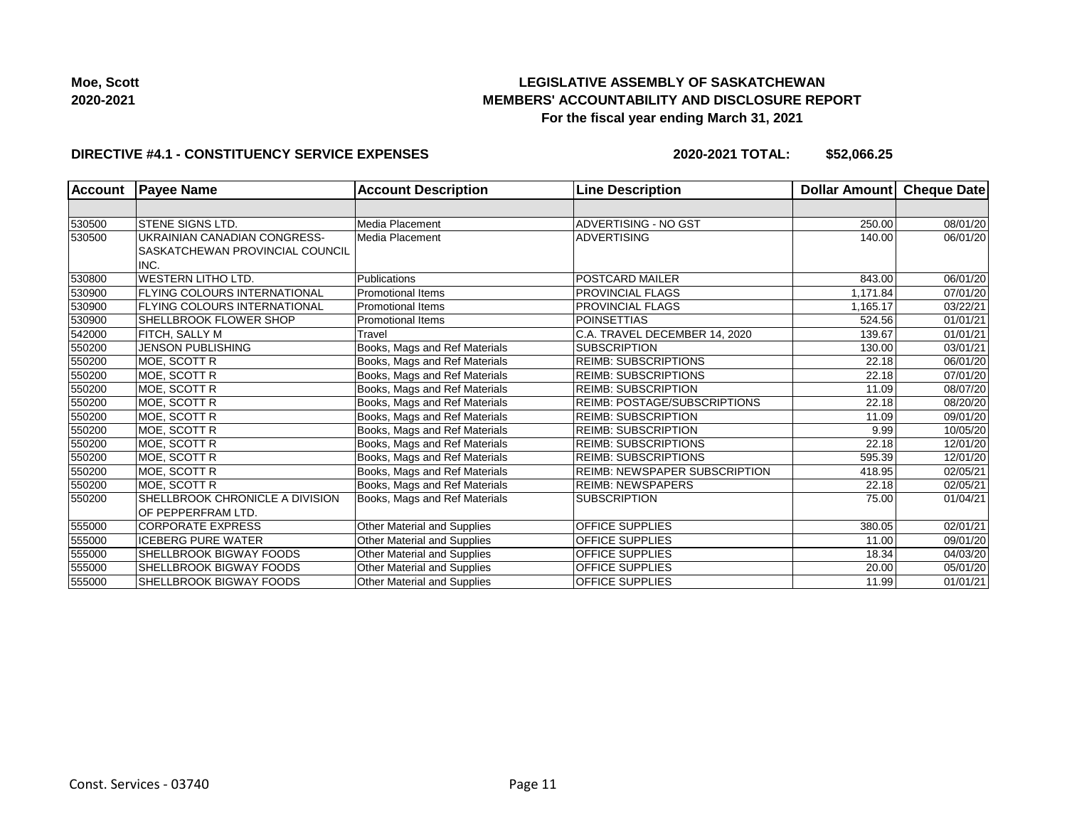

#### **DIRECTIVE #4.1 - CONSTITUENCY SERVICE EXPENSES**

| <b>Account</b> | <b>Payee Name</b>                   | <b>Account Description</b>         | <b>Line Description</b>              | <b>Dollar Amount</b> | <b>Cheque Date</b> |
|----------------|-------------------------------------|------------------------------------|--------------------------------------|----------------------|--------------------|
|                |                                     |                                    |                                      |                      |                    |
| 530500         | <b>STENE SIGNS LTD.</b>             | Media Placement                    | ADVERTISING - NO GST                 | 250.00               | 08/01/20           |
| 530500         | UKRAINIAN CANADIAN CONGRESS-        | Media Placement                    | <b>ADVERTISING</b>                   | 140.00               | 06/01/20           |
|                | SASKATCHEWAN PROVINCIAL COUNCIL     |                                    |                                      |                      |                    |
|                | INC.                                |                                    |                                      |                      |                    |
| 530800         | <b>WESTERN LITHO LTD.</b>           | Publications                       | <b>POSTCARD MAILER</b>               | 843.00               | 06/01/20           |
| 530900         | FLYING COLOURS INTERNATIONAL        | <b>Promotional Items</b>           | <b>PROVINCIAL FLAGS</b>              | 1,171.84             | 07/01/20           |
| 530900         | <b>FLYING COLOURS INTERNATIONAL</b> | <b>Promotional Items</b>           | <b>PROVINCIAL FLAGS</b>              | 1.165.17             | 03/22/21           |
| 530900         | SHELLBROOK FLOWER SHOP              | <b>Promotional Items</b>           | <b>POINSETTIAS</b>                   | 524.56               | 01/01/21           |
| 542000         | FITCH, SALLY M                      | Travel                             | C.A. TRAVEL DECEMBER 14, 2020        | 139.67               | 01/01/21           |
| 550200         | <b>JENSON PUBLISHING</b>            | Books, Mags and Ref Materials      | <b>SUBSCRIPTION</b>                  | 130.00               | 03/01/21           |
| 550200         | MOE, SCOTT R                        | Books, Mags and Ref Materials      | <b>REIMB: SUBSCRIPTIONS</b>          | 22.18                | 06/01/20           |
| 550200         | MOE, SCOTT R                        | Books, Mags and Ref Materials      | <b>REIMB: SUBSCRIPTIONS</b>          | 22.18                | 07/01/20           |
| 550200         | MOE, SCOTT R                        | Books, Mags and Ref Materials      | <b>REIMB: SUBSCRIPTION</b>           | 11.09                | 08/07/20           |
| 550200         | MOE, SCOTT R                        | Books, Mags and Ref Materials      | <b>REIMB: POSTAGE/SUBSCRIPTIONS</b>  | 22.18                | 08/20/20           |
| 550200         | MOE, SCOTT R                        | Books, Mags and Ref Materials      | <b>REIMB: SUBSCRIPTION</b>           | 11.09                | 09/01/20           |
| 550200         | MOE, SCOTT R                        | Books, Mags and Ref Materials      | <b>REIMB: SUBSCRIPTION</b>           | 9.99                 | 10/05/20           |
| 550200         | MOE, SCOTT R                        | Books, Mags and Ref Materials      | <b>REIMB: SUBSCRIPTIONS</b>          | 22.18                | 12/01/20           |
| 550200         | MOE, SCOTT R                        | Books, Mags and Ref Materials      | <b>REIMB: SUBSCRIPTIONS</b>          | 595.39               | 12/01/20           |
| 550200         | MOE, SCOTT R                        | Books, Mags and Ref Materials      | <b>REIMB: NEWSPAPER SUBSCRIPTION</b> | 418.95               | 02/05/21           |
| 550200         | MOE. SCOTT R                        | Books, Mags and Ref Materials      | <b>REIMB: NEWSPAPERS</b>             | 22.18                | 02/05/21           |
| 550200         | SHELLBROOK CHRONICLE A DIVISION     | Books, Mags and Ref Materials      | <b>SUBSCRIPTION</b>                  | 75.00                | 01/04/21           |
|                | OF PEPPERFRAM LTD.                  |                                    |                                      |                      |                    |
| 555000         | <b>CORPORATE EXPRESS</b>            | Other Material and Supplies        | <b>OFFICE SUPPLIES</b>               | 380.05               | 02/01/21           |
| 555000         | <b>ICEBERG PURE WATER</b>           | Other Material and Supplies        | <b>OFFICE SUPPLIES</b>               | 11.00                | 09/01/20           |
| 555000         | SHELLBROOK BIGWAY FOODS             | Other Material and Supplies        | <b>OFFICE SUPPLIES</b>               | 18.34                | 04/03/20           |
| 555000         | <b>SHELLBROOK BIGWAY FOODS</b>      | Other Material and Supplies        | <b>OFFICE SUPPLIES</b>               | 20.00                | 05/01/20           |
| 555000         | SHELLBROOK BIGWAY FOODS             | <b>Other Material and Supplies</b> | <b>OFFICE SUPPLIES</b>               | 11.99                | 01/01/21           |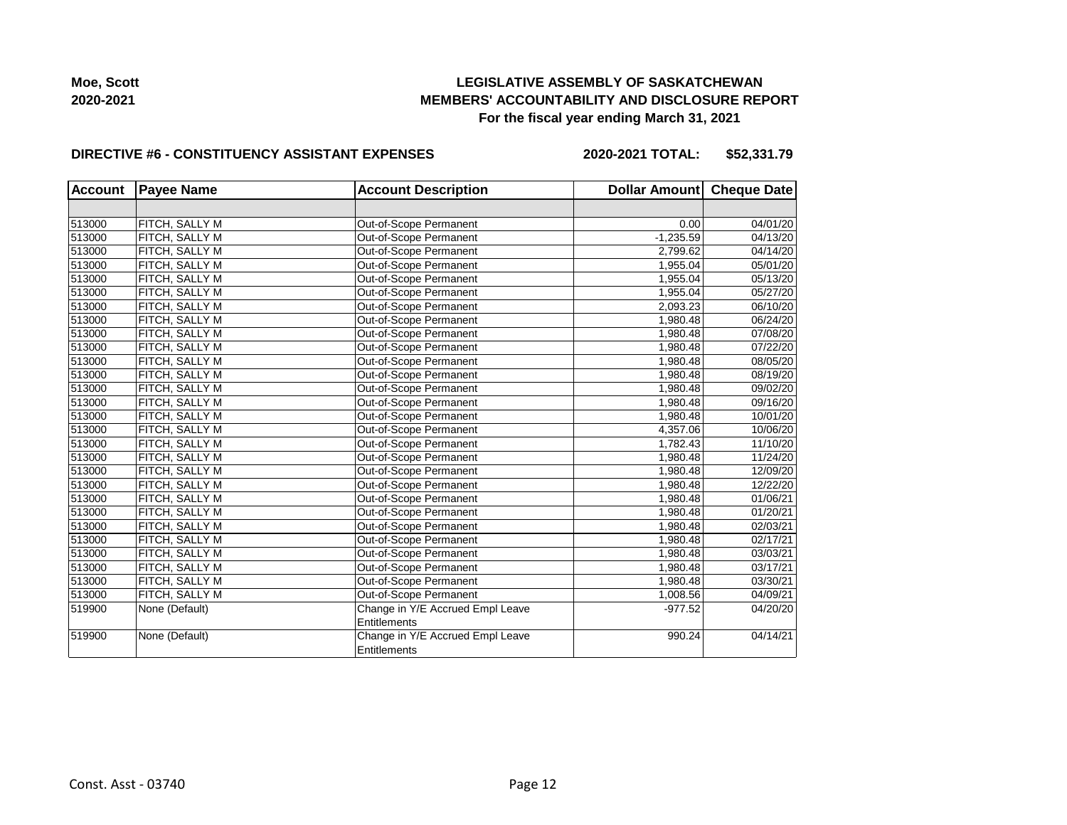

#### **DIRECTIVE #6 - CONSTITUENCY ASSISTANT EXPENSES**

**2020-2021 TOTAL: \$52,331.79**

| <b>Account</b> | <b>Payee Name</b> | <b>Account Description</b>       | Dollar Amount Cheque Date |          |
|----------------|-------------------|----------------------------------|---------------------------|----------|
|                |                   |                                  |                           |          |
| 513000         | FITCH, SALLY M    | Out-of-Scope Permanent           | 0.00                      | 04/01/20 |
| 513000         | FITCH, SALLY M    | Out-of-Scope Permanent           | $-1,235.59$               | 04/13/20 |
| 513000         | FITCH, SALLY M    | Out-of-Scope Permanent           | 2,799.62                  | 04/14/20 |
| 513000         | FITCH, SALLY M    | Out-of-Scope Permanent           | 1,955.04                  | 05/01/20 |
| 513000         | FITCH, SALLY M    | Out-of-Scope Permanent           | 1,955.04                  | 05/13/20 |
| 513000         | FITCH, SALLY M    | Out-of-Scope Permanent           | 1,955.04                  | 05/27/20 |
| 513000         | FITCH, SALLY M    | Out-of-Scope Permanent           | 2,093.23                  | 06/10/20 |
| 513000         | FITCH, SALLY M    | Out-of-Scope Permanent           | 1,980.48                  | 06/24/20 |
| 513000         | FITCH, SALLY M    | Out-of-Scope Permanent           | 1,980.48                  | 07/08/20 |
| 513000         | FITCH, SALLY M    | Out-of-Scope Permanent           | 1,980.48                  | 07/22/20 |
| 513000         | FITCH, SALLY M    | Out-of-Scope Permanent           | 1,980.48                  | 08/05/20 |
| 513000         | FITCH, SALLY M    | Out-of-Scope Permanent           | 1,980.48                  | 08/19/20 |
| 513000         | FITCH, SALLY M    | Out-of-Scope Permanent           | 1,980.48                  | 09/02/20 |
| 513000         | FITCH, SALLY M    | Out-of-Scope Permanent           | 1,980.48                  | 09/16/20 |
| 513000         | FITCH, SALLY M    | Out-of-Scope Permanent           | 1,980.48                  | 10/01/20 |
| 513000         | FITCH, SALLY M    | Out-of-Scope Permanent           | 4,357.06                  | 10/06/20 |
| 513000         | FITCH, SALLY M    | Out-of-Scope Permanent           | 1,782.43                  | 11/10/20 |
| 513000         | FITCH, SALLY M    | Out-of-Scope Permanent           | 1,980.48                  | 11/24/20 |
| 513000         | FITCH, SALLY M    | Out-of-Scope Permanent           | 1,980.48                  | 12/09/20 |
| 513000         | FITCH, SALLY M    | Out-of-Scope Permanent           | 1,980.48                  | 12/22/20 |
| 513000         | FITCH, SALLY M    | Out-of-Scope Permanent           | 1,980.48                  | 01/06/21 |
| 513000         | FITCH, SALLY M    | Out-of-Scope Permanent           | 1,980.48                  | 01/20/21 |
| 513000         | FITCH, SALLY M    | Out-of-Scope Permanent           | 1,980.48                  | 02/03/21 |
| 513000         | FITCH, SALLY M    | Out-of-Scope Permanent           | 1,980.48                  | 02/17/21 |
| 513000         | FITCH, SALLY M    | Out-of-Scope Permanent           | 1,980.48                  | 03/03/21 |
| 513000         | FITCH, SALLY M    | Out-of-Scope Permanent           | 1,980.48                  | 03/17/21 |
| 513000         | FITCH, SALLY M    | Out-of-Scope Permanent           | 1,980.48                  | 03/30/21 |
| 513000         | FITCH, SALLY M    | Out-of-Scope Permanent           | 1,008.56                  | 04/09/21 |
| 519900         | None (Default)    | Change in Y/E Accrued Empl Leave | $-977.52$                 | 04/20/20 |
|                |                   | <b>Entitlements</b>              |                           |          |
| 519900         | None (Default)    | Change in Y/E Accrued Empl Leave | 990.24                    | 04/14/21 |
|                |                   | <b>Entitlements</b>              |                           |          |